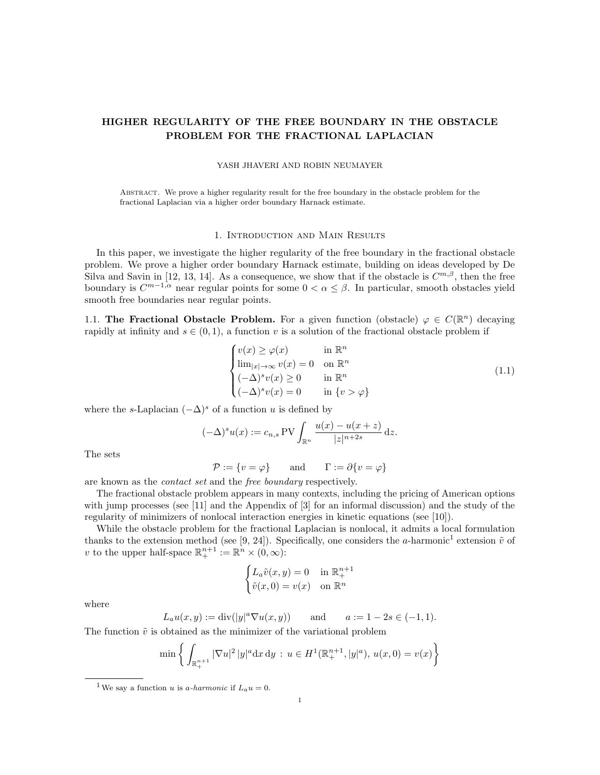## HIGHER REGULARITY OF THE FREE BOUNDARY IN THE OBSTACLE PROBLEM FOR THE FRACTIONAL LAPLACIAN

#### YASH JHAVERI AND ROBIN NEUMAYER

Abstract. We prove a higher regularity result for the free boundary in the obstacle problem for the fractional Laplacian via a higher order boundary Harnack estimate.

### 1. Introduction and Main Results

In this paper, we investigate the higher regularity of the free boundary in the fractional obstacle problem. We prove a higher order boundary Harnack estimate, building on ideas developed by De Silva and Savin in [12, 13, 14]. As a consequence, we show that if the obstacle is  $C^{m,\beta}$ , then the free boundary is  $C^{m-1,\alpha}$  near regular points for some  $0 < \alpha \leq \beta$ . In particular, smooth obstacles yield smooth free boundaries near regular points.

1.1. The Fractional Obstacle Problem. For a given function (obstacle)  $\varphi \in C(\mathbb{R}^n)$  decaying rapidly at infinity and  $s \in (0, 1)$ , a function v is a solution of the fractional obstacle problem if

$$
\begin{cases}\nv(x) \ge \varphi(x) & \text{in } \mathbb{R}^n \\
\lim_{|x| \to \infty} v(x) = 0 & \text{on } \mathbb{R}^n \\
(-\Delta)^s v(x) \ge 0 & \text{in } \mathbb{R}^n \\
(-\Delta)^s v(x) = 0 & \text{in } \{v > \varphi\}\n\end{cases}
$$
\n(1.1)

where the s-Laplacian  $(-\Delta)^s$  of a function u is defined by

$$
(-\Delta)^s u(x) := c_{n,s} \operatorname{PV} \int_{\mathbb{R}^n} \frac{u(x) - u(x+z)}{|z|^{n+2s}} dz.
$$

The sets

$$
\mathcal{P} := \{ v = \varphi \} \qquad \text{and} \qquad \Gamma := \partial \{ v = \varphi \}
$$

are known as the contact set and the free boundary respectively.

The fractional obstacle problem appears in many contexts, including the pricing of American options with jump processes (see [11] and the Appendix of [3] for an informal discussion) and the study of the regularity of minimizers of nonlocal interaction energies in kinetic equations (see [10]).

While the obstacle problem for the fractional Laplacian is nonlocal, it admits a local formulation thanks to the extension method (see [9, 24]). Specifically, one considers the a-harmonic<sup>1</sup> extension  $\tilde{v}$  of v to the upper half-space  $\mathbb{R}^{n+1}_+ := \mathbb{R}^n \times (0,\infty)$ :

$$
\begin{cases} L_a \tilde{v}(x, y) = 0 & \text{in } \mathbb{R}^{n+1}_+ \\ \tilde{v}(x, 0) = v(x) & \text{on } \mathbb{R}^n \end{cases}
$$

where

$$
L_a u(x, y) := \text{div}(|y|^a \nabla u(x, y))
$$
 and  $a := 1 - 2s \in (-1, 1).$ 

The function  $\tilde{v}$  is obtained as the minimizer of the variational problem

$$
\min \left\{ \int_{\mathbb{R}^{n+1}_+} |\nabla u|^2 |y|^a \, dx \, dy \, : \, u \in H^1(\mathbb{R}^{n+1}_+, |y|^a), \, u(x,0) = v(x) \right\}
$$

<sup>&</sup>lt;sup>1</sup>We say a function u is a-harmonic if  $L_a u = 0$ .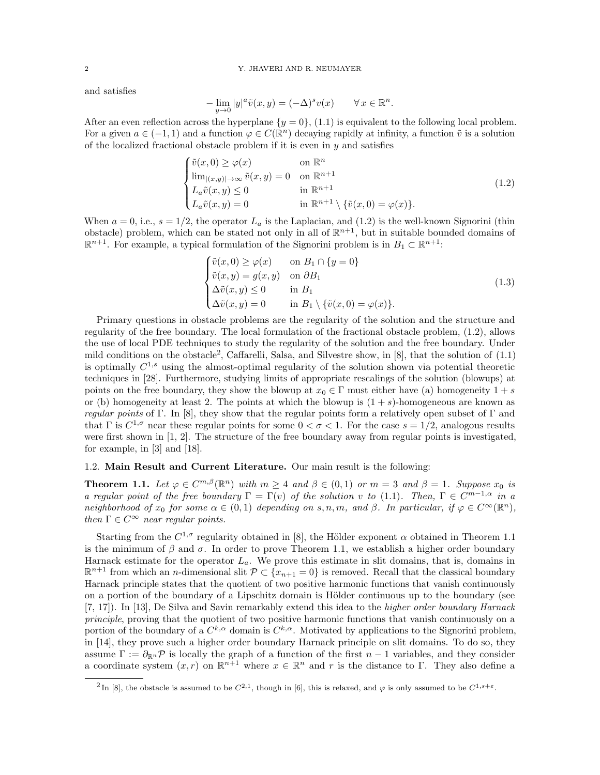and satisfies

$$
-\lim_{y \to 0} |y|^a \tilde{v}(x, y) = (-\Delta)^s v(x) \qquad \forall x \in \mathbb{R}^n.
$$

After an even reflection across the hyperplane  $\{y = 0\}$ , (1.1) is equivalent to the following local problem. For a given  $a \in (-1,1)$  and a function  $\varphi \in C(\mathbb{R}^n)$  decaying rapidly at infinity, a function  $\tilde{v}$  is a solution of the localized fractional obstacle problem if it is even in  $y$  and satisfies

$$
\begin{cases}\n\tilde{v}(x,0) \ge \varphi(x) & \text{on } \mathbb{R}^n \\
\lim_{|(x,y)| \to \infty} \tilde{v}(x,y) = 0 & \text{on } \mathbb{R}^{n+1} \\
L_a \tilde{v}(x,y) \le 0 & \text{in } \mathbb{R}^{n+1} \\
L_a \tilde{v}(x,y) = 0 & \text{in } \mathbb{R}^{n+1} \setminus \{\tilde{v}(x,0) = \varphi(x)\}.\n\end{cases}
$$
\n(1.2)

When  $a = 0$ , i.e.,  $s = 1/2$ , the operator  $L_a$  is the Laplacian, and (1.2) is the well-known Signorini (thin obstacle) problem, which can be stated not only in all of  $\mathbb{R}^{n+1}$ , but in suitable bounded domains of  $\mathbb{R}^{n+1}$ . For example, a typical formulation of the Signorini problem is in  $B_1 \subset \mathbb{R}^{n+1}$ .

$$
\begin{cases}\n\tilde{v}(x,0) \ge \varphi(x) & \text{on } B_1 \cap \{y = 0\} \\
\tilde{v}(x,y) = g(x,y) & \text{on } \partial B_1 \\
\Delta \tilde{v}(x,y) \le 0 & \text{in } B_1 \\
\Delta \tilde{v}(x,y) = 0 & \text{in } B_1 \setminus \{\tilde{v}(x,0) = \varphi(x)\}.\n\end{cases}
$$
\n(1.3)

Primary questions in obstacle problems are the regularity of the solution and the structure and regularity of the free boundary. The local formulation of the fractional obstacle problem, (1.2), allows the use of local PDE techniques to study the regularity of the solution and the free boundary. Under mild conditions on the obstacle<sup>2</sup>, Caffarelli, Salsa, and Silvestre show, in [8], that the solution of (1.1) is optimally  $C^{1,s}$  using the almost-optimal regularity of the solution shown via potential theoretic techniques in [28]. Furthermore, studying limits of appropriate rescalings of the solution (blowups) at points on the free boundary, they show the blowup at  $x_0 \in \Gamma$  must either have (a) homogeneity  $1 + s$ or (b) homogeneity at least 2. The points at which the blowup is  $(1 + s)$ -homogeneous are known as *regular points* of Γ. In [8], they show that the regular points form a relatively open subset of Γ and that  $\Gamma$  is  $C^{1,\sigma}$  near these regular points for some  $0 < \sigma < 1$ . For the case  $s = 1/2$ , analogous results were first shown in [1, 2]. The structure of the free boundary away from regular points is investigated, for example, in [3] and [18].

## 1.2. Main Result and Current Literature. Our main result is the following:

**Theorem 1.1.** Let  $\varphi \in C^{m,\beta}(\mathbb{R}^n)$  with  $m \geq 4$  and  $\beta \in (0,1)$  or  $m = 3$  and  $\beta = 1$ . Suppose  $x_0$  is a regular point of the free boundary  $\Gamma = \Gamma(v)$  of the solution v to (1.1). Then,  $\Gamma \in C^{m-1,\alpha}$  in a neighborhood of  $x_0$  for some  $\alpha \in (0,1)$  depending on s, n, m, and  $\beta$ . In particular, if  $\varphi \in C^{\infty}(\mathbb{R}^n)$ , then  $\Gamma \in C^{\infty}$  near regular points.

Starting from the  $C^{1,\sigma}$  regularity obtained in [8], the Hölder exponent  $\alpha$  obtained in Theorem 1.1 is the minimum of  $\beta$  and  $\sigma$ . In order to prove Theorem 1.1, we establish a higher order boundary Harnack estimate for the operator  $L_a$ . We prove this estimate in slit domains, that is, domains in  $\mathbb{R}^{n+1}$  from which an *n*-dimensional slit  $\mathcal{P} \subset \{x_{n+1} = 0\}$  is removed. Recall that the classical boundary Harnack principle states that the quotient of two positive harmonic functions that vanish continuously on a portion of the boundary of a Lipschitz domain is Hölder continuous up to the boundary (see [7, 17]). In [13], De Silva and Savin remarkably extend this idea to the higher order boundary Harnack principle, proving that the quotient of two positive harmonic functions that vanish continuously on a portion of the boundary of a  $C^{k,\alpha}$  domain is  $C^{k,\alpha}$ . Motivated by applications to the Signorini problem, in [14], they prove such a higher order boundary Harnack principle on slit domains. To do so, they assume  $\Gamma := \partial_{\mathbb{R}^n} \mathcal{P}$  is locally the graph of a function of the first  $n-1$  variables, and they consider a coordinate system  $(x, r)$  on  $\mathbb{R}^{n+1}$  where  $x \in \mathbb{R}^n$  and r is the distance to  $\Gamma$ . They also define a

<sup>&</sup>lt;sup>2</sup>In [8], the obstacle is assumed to be  $C^{2,1}$ , though in [6], this is relaxed, and  $\varphi$  is only assumed to be  $C^{1,s+\varepsilon}$ .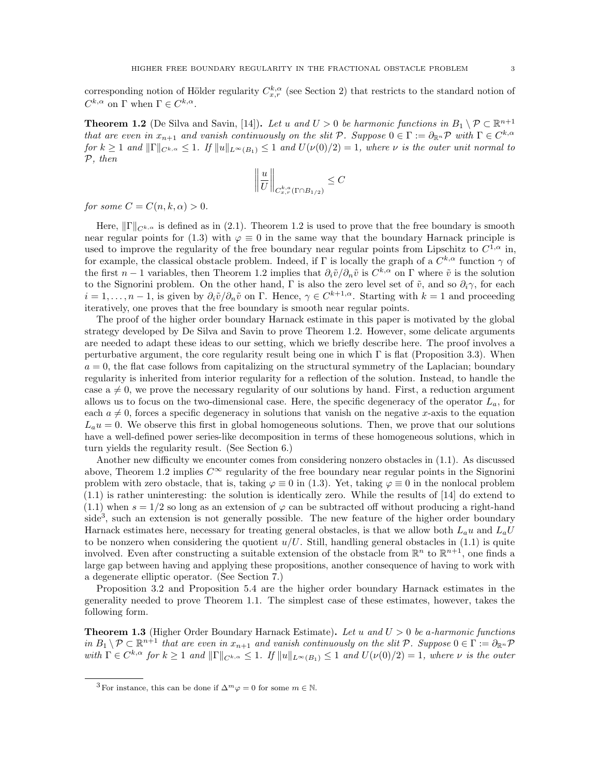corresponding notion of Hölder regularity  $C_{x,r}^{k,\alpha}$  (see Section 2) that restricts to the standard notion of  $C^{k,\alpha}$  on  $\Gamma$  when  $\Gamma \in C^{k,\alpha}$ .

**Theorem 1.2** (De Silva and Savin, [14]). Let u and  $U > 0$  be harmonic functions in  $B_1 \setminus \mathcal{P} \subset \mathbb{R}^{n+1}$ that are even in  $x_{n+1}$  and vanish continuously on the slit  $P$ . Suppose  $0 \in \Gamma := \partial_{\mathbb{R}^n} \mathcal{P}$  with  $\Gamma \in C^{k,\alpha}$ for  $k \geq 1$  and  $\|\Gamma\|_{C^{k,\alpha}} \leq 1$ . If  $\|u\|_{L^{\infty}(B_1)} \leq 1$  and  $U(\nu(0)/2) = 1$ , where  $\nu$  is the outer unit normal to P, then

$$
\left\| \frac{u}{U} \right\|_{C^{k,a}_{x,r}(\Gamma \cap B_{1/2})} \leq C
$$

for some  $C = C(n, k, \alpha) > 0$ .

Here,  $\|\Gamma\|_{C^{k,\alpha}}$  is defined as in (2.1). Theorem 1.2 is used to prove that the free boundary is smooth near regular points for (1.3) with  $\varphi \equiv 0$  in the same way that the boundary Harnack principle is used to improve the regularity of the free boundary near regular points from Lipschitz to  $C^{1,\alpha}$  in, for example, the classical obstacle problem. Indeed, if  $\Gamma$  is locally the graph of a  $C^{k,\alpha}$  function  $\gamma$  of the first  $n-1$  variables, then Theorem 1.2 implies that  $\partial_i \tilde{v}/\partial_n \tilde{v}$  is  $C^{k,\alpha}$  on  $\Gamma$  where  $\tilde{v}$  is the solution to the Signorini problem. On the other hand, Γ is also the zero level set of  $\tilde{v}$ , and so  $\partial_i \gamma$ , for each  $i = 1, \ldots, n-1$ , is given by  $\partial_i \tilde{v}/\partial_n \tilde{v}$  on  $\Gamma$ . Hence,  $\gamma \in C^{k+1,\alpha}$ . Starting with  $k = 1$  and proceeding iteratively, one proves that the free boundary is smooth near regular points.

The proof of the higher order boundary Harnack estimate in this paper is motivated by the global strategy developed by De Silva and Savin to prove Theorem 1.2. However, some delicate arguments are needed to adapt these ideas to our setting, which we briefly describe here. The proof involves a perturbative argument, the core regularity result being one in which  $\Gamma$  is flat (Proposition 3.3). When  $a = 0$ , the flat case follows from capitalizing on the structural symmetry of the Laplacian; boundary regularity is inherited from interior regularity for a reflection of the solution. Instead, to handle the case  $a \neq 0$ , we prove the necessary regularity of our solutions by hand. First, a reduction argument allows us to focus on the two-dimensional case. Here, the specific degeneracy of the operator  $L_a$ , for each  $a \neq 0$ , forces a specific degeneracy in solutions that vanish on the negative x-axis to the equation  $L_a u = 0$ . We observe this first in global homogeneous solutions. Then, we prove that our solutions have a well-defined power series-like decomposition in terms of these homogeneous solutions, which in turn yields the regularity result. (See Section 6.)

Another new difficulty we encounter comes from considering nonzero obstacles in (1.1). As discussed above, Theorem 1.2 implies  $C^{\infty}$  regularity of the free boundary near regular points in the Signorini problem with zero obstacle, that is, taking  $\varphi \equiv 0$  in (1.3). Yet, taking  $\varphi \equiv 0$  in the nonlocal problem (1.1) is rather uninteresting: the solution is identically zero. While the results of [14] do extend to  $(1.1)$  when  $s = 1/2$  so long as an extension of  $\varphi$  can be subtracted off without producing a right-hand  $side<sup>3</sup>$ , such an extension is not generally possible. The new feature of the higher order boundary Harnack estimates here, necessary for treating general obstacles, is that we allow both  $L_a u$  and  $L_a U$ to be nonzero when considering the quotient  $u/U$ . Still, handling general obstacles in (1.1) is quite involved. Even after constructing a suitable extension of the obstacle from  $\mathbb{R}^n$  to  $\mathbb{R}^{n+1}$ , one finds a large gap between having and applying these propositions, another consequence of having to work with a degenerate elliptic operator. (See Section 7.)

Proposition 3.2 and Proposition 5.4 are the higher order boundary Harnack estimates in the generality needed to prove Theorem 1.1. The simplest case of these estimates, however, takes the following form.

**Theorem 1.3** (Higher Order Boundary Harnack Estimate). Let u and  $U > 0$  be a-harmonic functions in  $B_1 \setminus \mathcal{P} \subset \mathbb{R}^{n+1}$  that are even in  $x_{n+1}$  and vanish continuously on the slit  $\mathcal{P}$ . Suppose  $0 \in \Gamma := \partial_{\mathbb{R}^n} \mathcal{P}$ with  $\Gamma \in C^{k,\alpha}$  for  $k \geq 1$  and  $\|\Gamma\|_{C^{k,\alpha}} \leq 1$ . If  $\|u\|_{L^{\infty}(B_1)} \leq 1$  and  $U(\nu(0)/2) = 1$ , where  $\nu$  is the outer

<sup>&</sup>lt;sup>3</sup> For instance, this can be done if  $\Delta^m \varphi = 0$  for some  $m \in \mathbb{N}$ .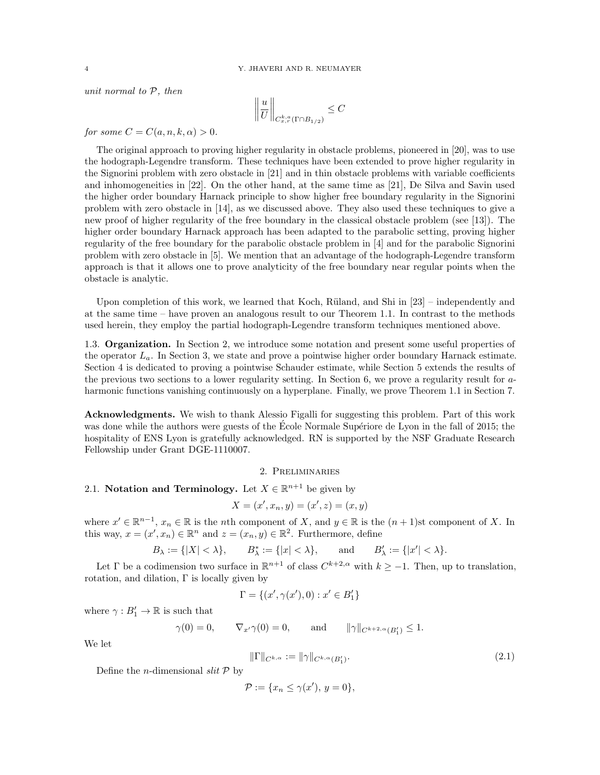unit normal to  $P$ , then

$$
\left\| \frac{u}{U} \right\|_{C^{k,a}_{x,r}(\Gamma \cap B_{1/2})} \leq C
$$

for some  $C = C(a, n, k, \alpha) > 0$ .

The original approach to proving higher regularity in obstacle problems, pioneered in [20], was to use the hodograph-Legendre transform. These techniques have been extended to prove higher regularity in the Signorini problem with zero obstacle in [21] and in thin obstacle problems with variable coefficients and inhomogeneities in [22]. On the other hand, at the same time as [21], De Silva and Savin used the higher order boundary Harnack principle to show higher free boundary regularity in the Signorini problem with zero obstacle in [14], as we discussed above. They also used these techniques to give a new proof of higher regularity of the free boundary in the classical obstacle problem (see [13]). The higher order boundary Harnack approach has been adapted to the parabolic setting, proving higher regularity of the free boundary for the parabolic obstacle problem in [4] and for the parabolic Signorini problem with zero obstacle in [5]. We mention that an advantage of the hodograph-Legendre transform approach is that it allows one to prove analyticity of the free boundary near regular points when the obstacle is analytic.

Upon completion of this work, we learned that Koch, Rüland, and Shi in  $[23]$  – independently and at the same time – have proven an analogous result to our Theorem 1.1. In contrast to the methods used herein, they employ the partial hodograph-Legendre transform techniques mentioned above.

1.3. Organization. In Section 2, we introduce some notation and present some useful properties of the operator  $L_a$ . In Section 3, we state and prove a pointwise higher order boundary Harnack estimate. Section 4 is dedicated to proving a pointwise Schauder estimate, while Section 5 extends the results of the previous two sections to a lower regularity setting. In Section 6, we prove a regularity result for aharmonic functions vanishing continuously on a hyperplane. Finally, we prove Theorem 1.1 in Section 7.

Acknowledgments. We wish to thank Alessio Figalli for suggesting this problem. Part of this work was done while the authors were guests of the École Normale Supériore de Lyon in the fall of 2015; the hospitality of ENS Lyon is gratefully acknowledged. RN is supported by the NSF Graduate Research Fellowship under Grant DGE-1110007.

### 2. Preliminaries

# 2.1. Notation and Terminology. Let  $X \in \mathbb{R}^{n+1}$  be given by

$$
X = (x', x_n, y) = (x', z) = (x, y)
$$

where  $x' \in \mathbb{R}^{n-1}$ ,  $x_n \in \mathbb{R}$  is the nth component of X, and  $y \in \mathbb{R}$  is the  $(n+1)$ st component of X. In this way,  $x = (x', x_n) \in \mathbb{R}^n$  and  $z = (x_n, y) \in \mathbb{R}^2$ . Furthermore, define

$$
B_{\lambda} := \{ |X| < \lambda \}, \qquad B_{\lambda}^* := \{ |x| < \lambda \}, \qquad \text{and} \qquad B_{\lambda}' := \{ |x'| < \lambda \}.
$$

Let  $\Gamma$  be a codimension two surface in  $\mathbb{R}^{n+1}$  of class  $C^{k+2,\alpha}$  with  $k \geq -1$ . Then, up to translation, rotation, and dilation, Γ is locally given by

$$
\Gamma = \{(x', \gamma(x'), 0) : x' \in B'_1\}
$$

where  $\gamma: B'_1 \to \mathbb{R}$  is such that

$$
\gamma(0) = 0,
$$
  $\nabla_{x'}\gamma(0) = 0,$  and  $\|\gamma\|_{C^{k+2,\alpha}(B'_1)} \le 1.$ 

We let

$$
\|\Gamma\|_{C^{k,\alpha}} := \|\gamma\|_{C^{k,\alpha}(B_1')}.
$$
\n(2.1)

Define the *n*-dimensional  $slit \mathcal{P}$  by

$$
\mathcal{P} := \{x_n \le \gamma(x'), \ y = 0\},\
$$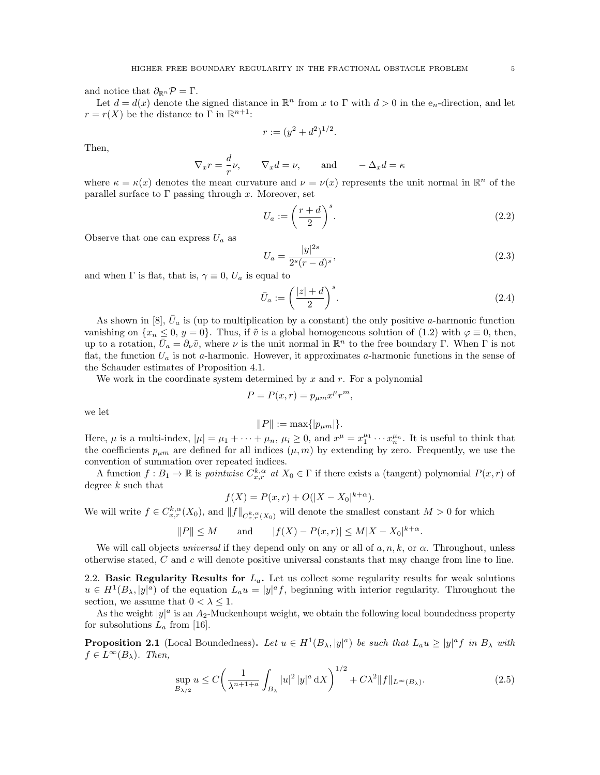and notice that  $\partial_{\mathbb{R}^n} \mathcal{P} = \Gamma$ .

Let  $d = d(x)$  denote the signed distance in  $\mathbb{R}^n$  from x to  $\Gamma$  with  $d > 0$  in the e<sub>n</sub>-direction, and let  $r = r(X)$  be the distance to  $\Gamma$  in  $\mathbb{R}^{n+1}$ .

$$
r := (y^2 + d^2)^{1/2}.
$$

Then,

$$
\nabla_x r = \frac{d}{r}\nu, \qquad \nabla_x d = \nu, \qquad \text{and} \qquad -\Delta_x d = \kappa
$$

where  $\kappa = \kappa(x)$  denotes the mean curvature and  $\nu = \nu(x)$  represents the unit normal in  $\mathbb{R}^n$  of the parallel surface to  $\Gamma$  passing through x. Moreover, set

$$
U_a := \left(\frac{r+d}{2}\right)^s. \tag{2.2}
$$

Observe that one can express  $U_a$  as

$$
U_a = \frac{|y|^{2s}}{2^s (r - d)^s},\tag{2.3}
$$

and when  $\Gamma$  is flat, that is,  $\gamma \equiv 0$ ,  $U_a$  is equal to

$$
\bar{U}_a := \left(\frac{|z| + d}{2}\right)^s. \tag{2.4}
$$

.

As shown in [8],  $\bar{U}_a$  is (up to multiplication by a constant) the only positive a-harmonic function vanishing on  $\{x_n \leq 0, y = 0\}$ . Thus, if  $\tilde{v}$  is a global homogeneous solution of (1.2) with  $\varphi \equiv 0$ , then, up to a rotation,  $\bar{U}_a = \partial_\nu \tilde{v}$ , where  $\nu$  is the unit normal in  $\mathbb{R}^n$  to the free boundary  $\Gamma$ . When  $\Gamma$  is not flat, the function  $U_a$  is not a-harmonic. However, it approximates a-harmonic functions in the sense of the Schauder estimates of Proposition 4.1.

We work in the coordinate system determined by x and r. For a polynomial

$$
P = P(x, r) = p_{\mu m} x^{\mu} r^{m},
$$

we let

$$
||P||:=\max\{|p_{\mu m}|\}.
$$

Here,  $\mu$  is a multi-index,  $|\mu| = \mu_1 + \cdots + \mu_n$ ,  $\mu_i \geq 0$ , and  $x^{\mu} = x_1^{\mu_1} \cdots x_n^{\mu_n}$ . It is useful to think that the coefficients  $p_{\mu m}$  are defined for all indices  $(\mu, m)$  by extending by zero. Frequently, we use the convention of summation over repeated indices.

A function  $f: B_1 \to \mathbb{R}$  is pointwise  $C_{x,r}^{k,\alpha}$  at  $X_0 \in \Gamma$  if there exists a (tangent) polynomial  $P(x,r)$  of degree k such that

$$
f(X) = P(x,r) + O(|X - X_0|^{k+\alpha}).
$$

We will write  $f \in C^{k,\alpha}_{x,r}(X_0)$ , and  $||f||_{C^{k,\alpha}_{x,r}(X_0)}$  will denote the smallest constant  $M > 0$  for which

$$
||P|| \le M
$$
 and  $|f(X) - P(x,r)| \le M|X - X_0|^{k+\alpha}$ 

We will call objects universal if they depend only on any or all of  $a, n, k$ , or  $\alpha$ . Throughout, unless otherwise stated, C and c will denote positive universal constants that may change from line to line.

2.2. Basic Regularity Results for  $L_a$ . Let us collect some regularity results for weak solutions  $u \in H^1(B_\lambda, |y|^a)$  of the equation  $L_a u = |y|^a f$ , beginning with interior regularity. Throughout the section, we assume that  $0 < \lambda \leq 1$ .

As the weight  $|y|^a$  is an  $A_2$ -Muckenhoupt weight, we obtain the following local boundedness property for subsolutions  $L_a$  from [16].

**Proposition 2.1** (Local Boundedness). Let  $u \in H^1(B_\lambda, |y|^a)$  be such that  $L_a u \ge |y|^a f$  in  $B_\lambda$  with  $f \in L^{\infty}(B_{\lambda})$ . Then,

$$
\sup_{B_{\lambda/2}} u \le C \left( \frac{1}{\lambda^{n+1+a}} \int_{B_{\lambda}} |u|^2 |y|^a \, dX \right)^{1/2} + C\lambda^2 \|f\|_{L^{\infty}(B_{\lambda})}. \tag{2.5}
$$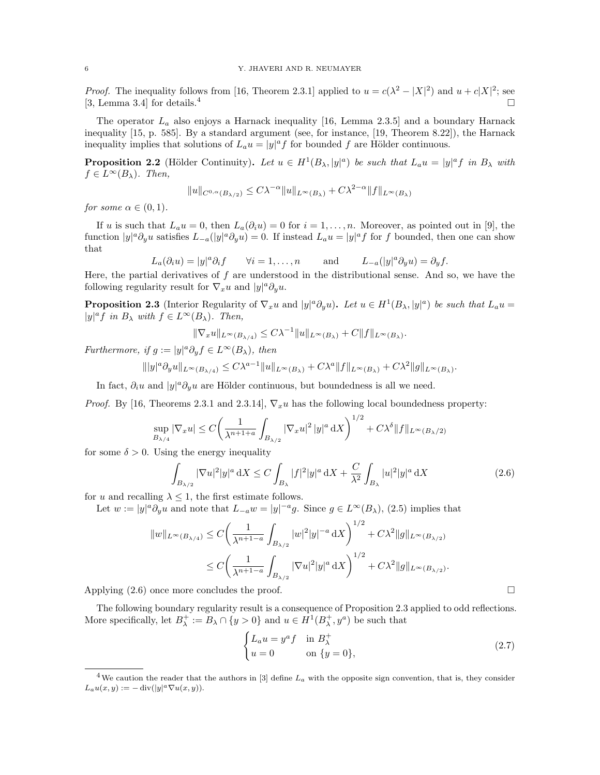*Proof.* The inequality follows from [16, Theorem 2.3.1] applied to  $u = c(\lambda^2 - |X|^2)$  and  $u + c|X|^2$ ; see [3, Lemma 3.4] for details.<sup>4</sup>

The operator  $L_a$  also enjoys a Harnack inequality [16, Lemma 2.3.5] and a boundary Harnack inequality [15, p. 585]. By a standard argument (see, for instance, [19, Theorem 8.22]), the Harnack inequality implies that solutions of  $L_a u = |y|^a f$  for bounded f are Hölder continuous.

**Proposition 2.2** (Hölder Continuity). Let  $u \in H^1(B_\lambda, |y|^a)$  be such that  $L_a u = |y|^a f$  in  $B_\lambda$  with  $f \in L^{\infty}(B_{\lambda})$ . Then,

$$
||u||_{C^{0,\alpha}(B_{\lambda/2})} \leq C\lambda^{-\alpha} ||u||_{L^{\infty}(B_{\lambda})} + C\lambda^{2-\alpha} ||f||_{L^{\infty}(B_{\lambda})}
$$

for some  $\alpha \in (0,1)$ .

If u is such that  $L_a u = 0$ , then  $L_a(\partial_i u) = 0$  for  $i = 1, \ldots, n$ . Moreover, as pointed out in [9], the function  $|y|^a \partial_y u$  satisfies  $L_{-a}(|y|^a \partial_y u) = 0$ . If instead  $L_a u = |y|^a f$  for f bounded, then one can show that

$$
L_a(\partial_i u) = |y|^a \partial_i f \qquad \forall i = 1, \dots, n \qquad \text{and} \qquad L_{-a}(|y|^a \partial_j u) = \partial_y f.
$$

Here, the partial derivatives of  $f$  are understood in the distributional sense. And so, we have the following regularity result for  $\nabla_x u$  and  $|y|^a \partial_y u$ .

**Proposition 2.3** (Interior Regularity of  $\nabla_x u$  and  $|y|^a \partial_y u$ ). Let  $u \in H^1(B_\lambda, |y|^a)$  be such that  $L_a u =$  $|y|^a f$  in  $B_\lambda$  with  $f \in L^\infty(B_\lambda)$ . Then,

$$
\|\nabla_x u\|_{L^\infty(B_{\lambda/4})} \le C\lambda^{-1} \|u\|_{L^\infty(B_\lambda)} + C \|f\|_{L^\infty(B_\lambda)}.
$$

Furthermore, if  $g := |y|^a \partial_y f \in L^\infty(B_\lambda)$ , then

$$
\| |y|^a \partial_y u \|_{L^\infty(B_{\lambda/4})} \le C\lambda^{a-1} \| u \|_{L^\infty(B_\lambda)} + C\lambda^a \| f \|_{L^\infty(B_\lambda)} + C\lambda^2 \| g \|_{L^\infty(B_\lambda)}.
$$

In fact,  $\partial_i u$  and  $|y|^a \partial_y u$  are Hölder continuous, but boundedness is all we need.

*Proof.* By [16, Theorems 2.3.1 and 2.3.14],  $\nabla_x u$  has the following local boundedness property:

$$
\sup_{B_{\lambda/4}} |\nabla_x u| \le C \bigg( \frac{1}{\lambda^{n+1+a}} \int_{B_{\lambda/2}} |\nabla_x u|^2 \, |y|^a \, \mathrm{d}X \bigg)^{1/2} + C\lambda^{\delta} \|f\|_{L^{\infty}(B_{\lambda}/2)}
$$

for some  $\delta > 0$ . Using the energy inequality

$$
\int_{B_{\lambda/2}} |\nabla u|^2 |y|^a \, \mathrm{d}X \le C \int_{B_{\lambda}} |f|^2 |y|^a \, \mathrm{d}X + \frac{C}{\lambda^2} \int_{B_{\lambda}} |u|^2 |y|^a \, \mathrm{d}X \tag{2.6}
$$

for u and recalling  $\lambda \leq 1$ , the first estimate follows.

Let  $w := |y|^a \partial_y u$  and note that  $L_{-a}w = |y|^{-a}g$ . Since  $g \in L^{\infty}(B_{\lambda}),$  (2.5) implies that

$$
||w||_{L^{\infty}(B_{\lambda/4})} \leq C \left( \frac{1}{\lambda^{n+1-a}} \int_{B_{\lambda/2}} |w|^2 |y|^{-a} dX \right)^{1/2} + C\lambda^2 ||g||_{L^{\infty}(B_{\lambda/2})}
$$
  

$$
\leq C \left( \frac{1}{\lambda^{n+1-a}} \int_{B_{\lambda/2}} |\nabla u|^2 |y|^a dX \right)^{1/2} + C\lambda^2 ||g||_{L^{\infty}(B_{\lambda/2})}.
$$

Applying  $(2.6)$  once more concludes the proof.

The following boundary regularity result is a consequence of Proposition 2.3 applied to odd reflections. More specifically, let  $B^+_{\lambda} := B_{\lambda} \cap \{y > 0\}$  and  $u \in H^1(B^+_{\lambda}, y^a)$  be such that

$$
\begin{cases} L_a u = y^a f & \text{in } B_\lambda^+ \\ u = 0 & \text{on } \{y = 0\}, \end{cases}
$$
 (2.7)

<sup>&</sup>lt;sup>4</sup>We caution the reader that the authors in [3] define  $L_a$  with the opposite sign convention, that is, they consider  $L_a u(x, y) := -\operatorname{div}(|y|^a \nabla u(x, y)).$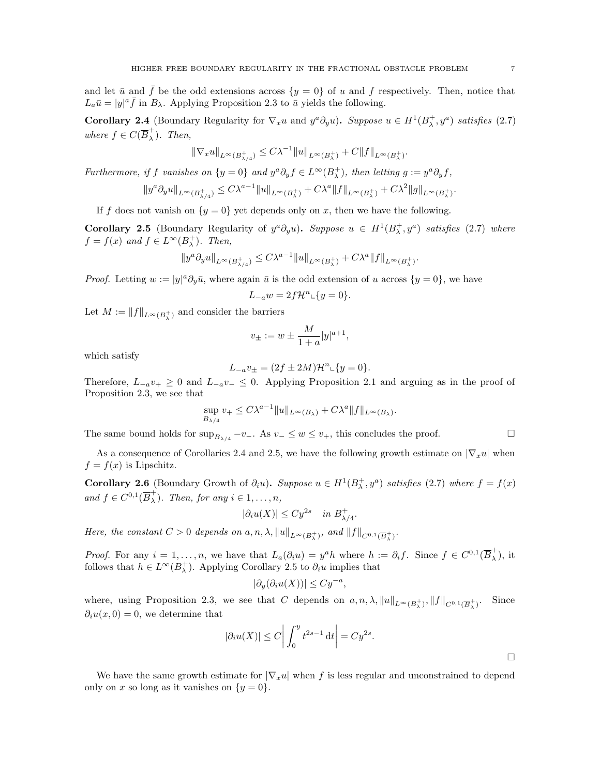and let  $\bar{u}$  and  $\bar{f}$  be the odd extensions across  $\{y = 0\}$  of u and f respectively. Then, notice that  $L_a\bar{u} = |y|^a \bar{f}$  in  $B_\lambda$ . Applying Proposition 2.3 to  $\bar{u}$  yields the following.

**Corollary 2.4** (Boundary Regularity for  $\nabla_x u$  and  $y^a \partial_y u$ ). Suppose  $u \in H^1(B_\lambda^+, y^a)$  satisfies (2.7) where  $f \in C(\overline{B}_{\lambda}^{+})$  $\lambda$ ). Then,

$$
\|\nabla_x u\|_{L^\infty(B_{\lambda/4}^+)} \leq C\lambda^{-1} \|u\|_{L^\infty(B_\lambda^+)} + C\|f\|_{L^\infty(B_\lambda^+)}.
$$

Furthermore, if f vanishes on  $\{y=0\}$  and  $y^a \partial_y f \in L^\infty(B_\lambda^+)$ , then letting  $g := y^a \partial_y f$ ,

$$
||y^a \partial_y u||_{L^{\infty}(B^+_{\lambda/4})} \leq C\lambda^{a-1} ||u||_{L^{\infty}(B^+_{\lambda})} + C\lambda^{a} ||f||_{L^{\infty}(B^+_{\lambda})} + C\lambda^2 ||g||_{L^{\infty}(B^+_{\lambda})}.
$$

If f does not vanish on  $\{y = 0\}$  yet depends only on x, then we have the following.

Corollary 2.5 (Boundary Regularity of  $y^a \partial_y u$ ). Suppose  $u \in H^1(B_\lambda^+, y^a)$  satisfies (2.7) where  $f = f(x)$  and  $f \in L^{\infty}(B_{\lambda}^{+})$ . Then,

$$
\|y^a \partial_y u\|_{L^\infty(B_{\lambda/4}^+)} \leq C \lambda^{a-1} \|u\|_{L^\infty(B_{\lambda}^+)} + C \lambda^a \|f\|_{L^\infty(B_{\lambda}^+)}
$$

.

*Proof.* Letting  $w := |y|^a \partial_y \bar{u}$ , where again  $\bar{u}$  is the odd extension of u across  $\{y = 0\}$ , we have

$$
L_{-a}w = 2f\mathcal{H}^n \llcorner \{y = 0\}.
$$

Let  $M := \|f\|_{L^{\infty}(B_{\lambda}^{+})}$  and consider the barriers

$$
v_{\pm} := w \pm \frac{M}{1+a} |y|^{a+1},
$$

which satisfy

$$
L_{-a}v_{\pm} = (2f \pm 2M)\mathcal{H}^{n} \llcorner \{y = 0\}.
$$

Therefore,  $L_{-a}v_+ \geq 0$  and  $L_{-a}v_- \leq 0$ . Applying Proposition 2.1 and arguing as in the proof of Proposition 2.3, we see that

$$
\sup_{B_{\lambda/4}} v_+ \le C\lambda^{a-1} \|u\|_{L^\infty(B_\lambda)} + C\lambda^a \|f\|_{L^\infty(B_\lambda)}.
$$

The same bound holds for  $\sup_{B_{\lambda/4}} -v_-\$ . As  $v_-\leq w\leq v_+$ , this concludes the proof.

As a consequence of Corollaries 2.4 and 2.5, we have the following growth estimate on  $|\nabla_x u|$  when  $f = f(x)$  is Lipschitz.

**Corollary 2.6** (Boundary Growth of  $\partial_i u$ ). Suppose  $u \in H^1(B_\lambda^+, y^a)$  satisfies (2.7) where  $f = f(x)$ and  $f \in C^{0,1}(\overline{B}_{\lambda}^{+})$  $\overline{\lambda}$ ). Then, for any  $i \in 1, \ldots, n$ ,

$$
|\partial_i u(X)| \leq C y^{2s} \quad \text{in } B_{\lambda/4}^+.
$$

Here, the constant  $C > 0$  depends on  $a, n, \lambda$ ,  $||u||_{L^{\infty}(B^+_{\lambda})}$ , and  $||f||_{C^{0,1}(\overline{B}^+_{\lambda})}$ .

*Proof.* For any  $i = 1, ..., n$ , we have that  $L_a(\partial_i u) = y^a h$  where  $h := \partial_i f$ . Since  $f \in C^{0,1}(\overline{B}^+_{\lambda})$  $\frac{1}{\lambda}$ , it follows that  $h \in L^{\infty}(B_{\lambda}^{+})$ . Applying Corollary 2.5 to  $\partial_{i}u$  implies that

$$
|\partial_y(\partial_i u(X))| \leq C y^{-a},
$$

where, using Proposition 2.3, we see that C depends on  $a, n, \lambda$ ,  $||u||_{L^{\infty}(B^+_{\lambda})}$ ,  $||f||_{C^{0,1}(\overline{B}^+_{\lambda})}$ . Since  $\partial_i u(x, 0) = 0$ , we determine that

$$
|\partial_i u(X)| \le C \bigg| \int_0^y t^{2s-1} \, \mathrm{d}t \bigg| = C y^{2s}.
$$

We have the same growth estimate for  $|\nabla_x u|$  when f is less regular and unconstrained to depend only on x so long as it vanishes on  $\{y=0\}$ .

 $\Box$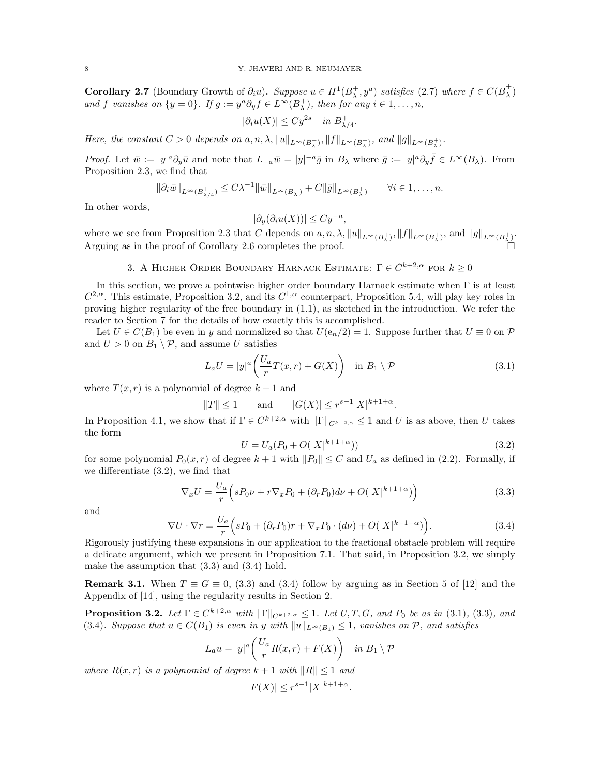**Corollary 2.7** (Boundary Growth of  $\partial_i u$ ). Suppose  $u \in H^1(B_\lambda^+, y^a)$  satisfies (2.7) where  $f \in C(\overline{B}_\lambda^+)$  $\frac{1}{\lambda}$ ) and f vanishes on  $\{y = 0\}$ . If  $g := y^a \partial_y f \in L^\infty(B_\lambda^+)$ , then for any  $i \in 1, ..., n$ ,

$$
|\partial_i u(X)| \leq C y^{2s} \quad \text{in } B^+_{\lambda/4}
$$

Here, the constant  $C > 0$  depends on  $a, n, \lambda$ ,  $||u||_{L^{\infty}(B^+_{\lambda})}$ ,  $||f||_{L^{\infty}(B^+_{\lambda})}$ , and  $||g||_{L^{\infty}(B^+_{\lambda})}$ .

Proof. Let  $\bar{w} := |y|^a \partial_y \bar{u}$  and note that  $L_{-a} \bar{w} = |y|^{-a} \bar{g}$  in  $B_\lambda$  where  $\bar{g} := |y|^a \partial_y \bar{f} \in L^\infty(B_\lambda)$ . From Proposition 2.3, we find that

$$
\|\partial_i \bar{w}\|_{L^{\infty}(B_{\lambda/4}^+)} \leq C\lambda^{-1} \|\bar{w}\|_{L^{\infty}(B_{\lambda}^+)} + C \|\bar{g}\|_{L^{\infty}(B_{\lambda}^+)} \qquad \forall i \in 1,\ldots,n.
$$

In other words,

$$
|\partial_y(\partial_i u(X))| \leq C y^{-a},
$$

where we see from Proposition 2.3 that C depends on  $a, n, \lambda$ ,  $||u||_{L^{\infty}(B^+_{\lambda})}$ ,  $||f||_{L^{\infty}(B^+_{\lambda})}$ , and  $||g||_{L^{\infty}(B^+_{\lambda})}$ . Arguing as in the proof of Corollary 2.6 completes the proof.

# 3. A HIGHER ORDER BOUNDARY HARNACK ESTIMATE:  $\Gamma \in C^{k+2,\alpha}$  for  $k \geq 0$

In this section, we prove a pointwise higher order boundary Harnack estimate when  $\Gamma$  is at least  $C^{2,\alpha}$ . This estimate, Proposition 3.2, and its  $C^{1,\alpha}$  counterpart, Proposition 5.4, will play key roles in proving higher regularity of the free boundary in (1.1), as sketched in the introduction. We refer the reader to Section 7 for the details of how exactly this is accomplished.

Let  $U \in C(B_1)$  be even in y and normalized so that  $U(e_n/2) = 1$ . Suppose further that  $U \equiv 0$  on  $\mathcal{P}$ and  $U > 0$  on  $B_1 \setminus \mathcal{P}$ , and assume U satisfies

$$
L_a U = |y|^a \left( \frac{U_a}{r} T(x, r) + G(X) \right) \quad \text{in } B_1 \setminus \mathcal{P}
$$
\n
$$
(3.1)
$$

.

where  $T(x, r)$  is a polynomial of degree  $k + 1$  and

$$
||T|| \le 1
$$
 and  $|G(X)| \le r^{s-1}|X|^{k+1+\alpha}$ .

In Proposition 4.1, we show that if  $\Gamma \in C^{k+2,\alpha}$  with  $\|\Gamma\|_{C^{k+2,\alpha}} \leq 1$  and U is as above, then U takes the form

$$
U = U_a(P_0 + O(|X|^{k+1+\alpha}))
$$
\n(3.2)

for some polynomial  $P_0(x, r)$  of degree  $k + 1$  with  $||P_0|| \leq C$  and  $U_a$  as defined in (2.2). Formally, if we differentiate (3.2), we find that

$$
\nabla_x U = \frac{U_a}{r} \left( sP_0 \nu + r \nabla_x P_0 + (\partial_r P_0) d\nu + O(|X|^{k+1+\alpha}) \right)
$$
\n(3.3)

and

$$
\nabla U \cdot \nabla r = \frac{U_a}{r} \Big( sP_0 + (\partial_r P_0)r + \nabla_x P_0 \cdot (d\nu) + O(|X|^{k+1+\alpha}) \Big). \tag{3.4}
$$

Rigorously justifying these expansions in our application to the fractional obstacle problem will require a delicate argument, which we present in Proposition 7.1. That said, in Proposition 3.2, we simply make the assumption that (3.3) and (3.4) hold.

**Remark 3.1.** When  $T \equiv G \equiv 0$ , (3.3) and (3.4) follow by arguing as in Section 5 of [12] and the Appendix of [14], using the regularity results in Section 2.

**Proposition 3.2.** Let  $\Gamma \in C^{k+2,\alpha}$  with  $\|\Gamma\|_{C^{k+2,\alpha}} \leq 1$ . Let  $U, T, G$ , and  $P_0$  be as in (3.1), (3.3), and (3.4). Suppose that  $u \in C(B_1)$  is even in y with  $||u||_{L^{\infty}(B_1)} \leq 1$ , vanishes on P, and satisfies

$$
L_a u = |y|^a \left( \frac{U_a}{r} R(x, r) + F(X) \right) \quad \text{in } B_1 \setminus \mathcal{P}
$$

where  $R(x, r)$  is a polynomial of degree  $k + 1$  with  $||R|| \leq 1$  and

$$
|F(X)| \le r^{s-1}|X|^{k+1+\alpha}.
$$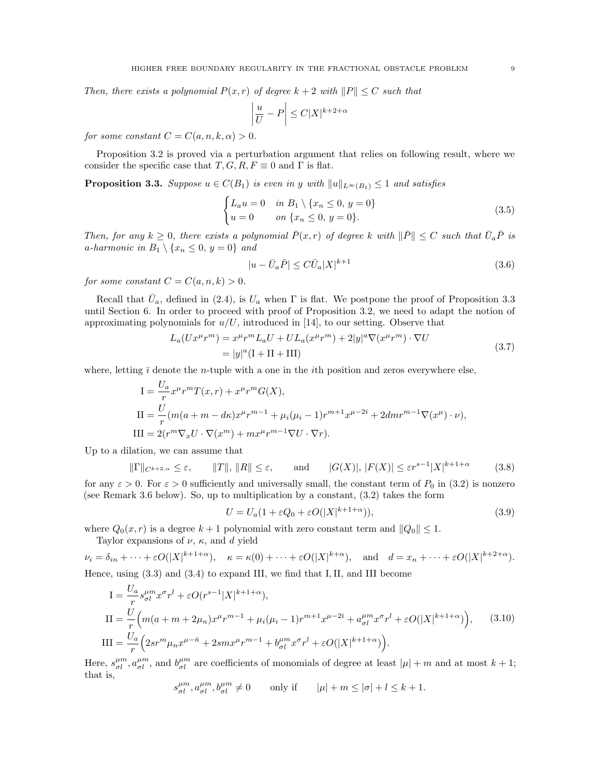Then, there exists a polynomial  $P(x, r)$  of degree  $k + 2$  with  $||P|| \leq C$  such that

$$
\left|\frac{u}{U} - P\right| \le C|X|^{k+2+\alpha}
$$

for some constant  $C = C(a, n, k, \alpha) > 0$ .

Proposition 3.2 is proved via a perturbation argument that relies on following result, where we consider the specific case that  $T, G, R, F \equiv 0$  and  $\Gamma$  is flat.

**Proposition 3.3.** Suppose  $u \in C(B_1)$  is even in y with  $||u||_{L^{\infty}(B_1)} \leq 1$  and satisfies

$$
\begin{cases} L_a u = 0 & \text{in } B_1 \setminus \{x_n \le 0, y = 0\} \\ u = 0 & \text{on } \{x_n \le 0, y = 0\}. \end{cases}
$$
 (3.5)

Then, for any  $k \geq 0$ , there exists a polynomial  $\bar{P}(x,r)$  of degree k with  $\|\bar{P}\| \leq C$  such that  $\bar{U}_a\bar{P}$  is a-harmonic in  $B_1 \setminus \{x_n \leq 0, y = 0\}$  and

$$
|u - \bar{U}_a \bar{P}| \le C \bar{U}_a |X|^{k+1}
$$
\n
$$
(3.6)
$$

for some constant  $C = C(a, n, k) > 0$ .

Recall that  $\bar{U}_a$ , defined in (2.4), is  $U_a$  when  $\Gamma$  is flat. We postpone the proof of Proposition 3.3 until Section 6. In order to proceed with proof of Proposition 3.2, we need to adapt the notion of approximating polynomials for  $u/U$ , introduced in [14], to our setting. Observe that

$$
L_a(Ux^{\mu}r^m) = x^{\mu}r^mL_aU + UL_a(x^{\mu}r^m) + 2|y|^a\nabla(x^{\mu}r^m)\cdot\nabla U
$$
  
=  $|y|^a(I + II + III)$  (3.7)

where, letting  $\bar{\imath}$  denote the *n*-tuple with a one in the *i*th position and zeros everywhere else,

$$
I = \frac{U_a}{r} x^{\mu} r^m T(x, r) + x^{\mu} r^m G(X),
$$
  
\n
$$
II = \frac{U}{r} (m(a + m - d\kappa) x^{\mu} r^{m-1} + \mu_i (\mu_i - 1) r^{m+1} x^{\mu - 2\bar{\imath}} + 2dmr^{m-1} \nabla (x^{\mu}) \cdot \nu),
$$
  
\n
$$
III = 2(r^m \nabla_x U \cdot \nabla (x^m) + m x^{\mu} r^{m-1} \nabla U \cdot \nabla r).
$$

Up to a dilation, we can assume that

$$
\|\Gamma\|_{C^{k+2,\alpha}} \le \varepsilon, \qquad \|T\|, \|R\| \le \varepsilon, \qquad \text{and} \qquad |G(X)|, |F(X)| \le \varepsilon r^{s-1}|X|^{k+1+\alpha} \tag{3.8}
$$

for any  $\varepsilon > 0$ . For  $\varepsilon > 0$  sufficiently and universally small, the constant term of  $P_0$  in (3.2) is nonzero (see Remark 3.6 below). So, up to multiplication by a constant, (3.2) takes the form

$$
U = U_a(1 + \varepsilon Q_0 + \varepsilon O(|X|^{k+1+\alpha})),\tag{3.9}
$$

where  $Q_0(x, r)$  is a degree  $k + 1$  polynomial with zero constant term and  $||Q_0|| \leq 1$ .

Taylor expansions of  $\nu$ ,  $\kappa$ , and d yield

$$
\nu_i = \delta_{in} + \dots + \varepsilon O(|X|^{k+1+\alpha}), \quad \kappa = \kappa(0) + \dots + \varepsilon O(|X|^{k+\alpha}), \quad \text{and} \quad d = x_n + \dots + \varepsilon O(|X|^{k+2+\alpha}).
$$
  
Hence, using (3.3) and (3.4) to expand III, we find that I II, and III become

Hence, using (3.3) and (3.4) to expand III, we find that I,II, and III become

$$
I = \frac{U_a}{r} s_{\sigma l}^{\mu m} x^{\sigma} r^l + \varepsilon O(r^{s-1} |X|^{k+1+\alpha}),
$$
  
\n
$$
II = \frac{U}{r} \Big( m(a+m+2\mu_n) x^{\mu} r^{m-1} + \mu_i (\mu_i - 1) r^{m+1} x^{\mu-2\bar{\imath}} + a_{\sigma l}^{\mu m} x^{\sigma} r^l + \varepsilon O(|X|^{k+1+\alpha}) \Big), \qquad (3.10)
$$
  
\n
$$
III = \frac{U_a}{r} \Big( 2sr^m \mu_n x^{\mu-\bar{n}} + 2sm x^{\mu} r^{m-1} + b_{\sigma l}^{\mu m} x^{\sigma} r^l + \varepsilon O(|X|^{k+1+\alpha}) \Big).
$$

Here,  $s_{\sigma l}^{\mu m}$ ,  $a_{\sigma l}^{\mu m}$ , and  $b_{\sigma l}^{\mu m}$  are coefficients of monomials of degree at least  $|\mu| + m$  and at most  $k + 1$ ; that is,

$$
s_{\sigma l}^{\mu m}, a_{\sigma l}^{\mu m}, b_{\sigma l}^{\mu m} \neq 0 \qquad \text{only if} \qquad |\mu| + m \le |\sigma| + l \le k + 1.
$$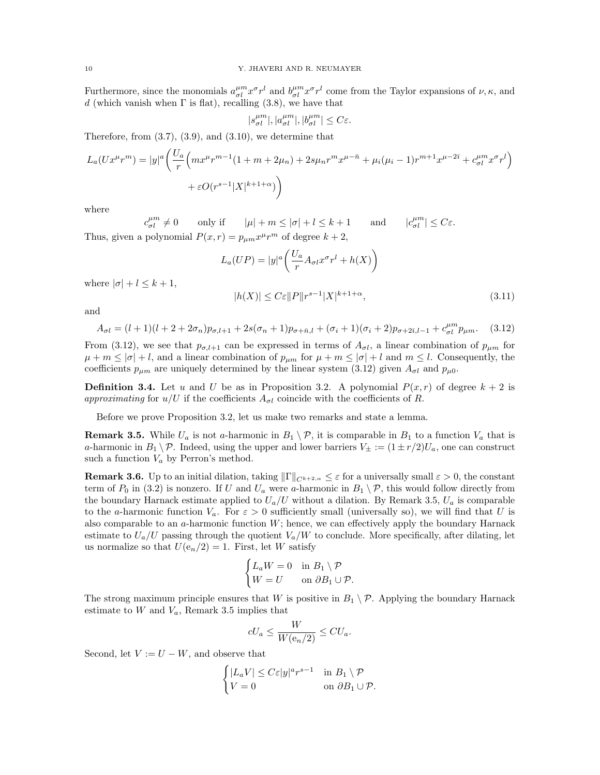Furthermore, since the monomials  $a_{\sigma l}^{\mu m} x^{\sigma} r^l$  and  $b_{\sigma l}^{\mu m} x^{\sigma} r^l$  come from the Taylor expansions of  $\nu, \kappa$ , and d (which vanish when  $\Gamma$  is flat), recalling (3.8), we have that

$$
|s^{\mu m}_{\sigma l}|, |a^{\mu m}_{\sigma l}|, |b^{\mu m}_{\sigma l}| \leq C \varepsilon.
$$

Therefore, from  $(3.7)$ ,  $(3.9)$ , and  $(3.10)$ , we determine that

$$
L_a(Ux^{\mu}r^m) = |y|^a \left( \frac{U_a}{r} \left( mx^{\mu}r^{m-1}(1+m+2\mu_n) + 2s\mu_n r^m x^{\mu-\bar{n}} + \mu_i(\mu_i-1)r^{m+1}x^{\mu-2\bar{\imath}} + c_{\sigma l}^{\mu m}x^{\sigma}r^l \right) \right) + \varepsilon O(r^{s-1}|X|^{k+1+\alpha})
$$

where

 $c_{\sigma l}^{\mu m} \neq 0$  only if  $|\mu| + m \leq |\sigma| + l \leq k + 1$  and  $|c|$  $\vert_{\sigma l}^{\mu m}\vert \leq C \varepsilon.$ Thus, given a polynomial  $P(x, r) = p_{\mu m} x^{\mu} r^m$  of degree  $k + 2$ ,

$$
L_a(UP) = |y|^a \left( \frac{U_a}{r} A_{\sigma l} x^{\sigma} r^l + h(X) \right)
$$

where  $|\sigma| + l \leq k + 1$ ,

$$
|h(X)| \leq C\varepsilon ||P||r^{s-1}|X|^{k+1+\alpha},\tag{3.11}
$$

and

$$
A_{\sigma l} = (l+1)(l+2+2\sigma_n)p_{\sigma,l+1} + 2s(\sigma_n+1)p_{\sigma+\bar{n},l} + (\sigma_i+1)(\sigma_i+2)p_{\sigma+2\bar{\imath},l-1} + c_{\sigma l}^{\mu m}p_{\mu m}. \tag{3.12}
$$

From (3.12), we see that  $p_{\sigma,l+1}$  can be expressed in terms of  $A_{\sigma l}$ , a linear combination of  $p_{\mu m}$  for  $\mu + m \leq |\sigma| + l$ , and a linear combination of  $p_{\mu m}$  for  $\mu + m \leq |\sigma| + l$  and  $m \leq l$ . Consequently, the coefficients  $p_{\mu m}$  are uniquely determined by the linear system (3.12) given  $A_{\sigma l}$  and  $p_{\mu 0}$ .

**Definition 3.4.** Let u and U be as in Proposition 3.2. A polynomial  $P(x, r)$  of degree  $k + 2$  is approximating for  $u/U$  if the coefficients  $A_{\sigma l}$  coincide with the coefficients of R.

Before we prove Proposition 3.2, let us make two remarks and state a lemma.

**Remark 3.5.** While  $U_a$  is not a-harmonic in  $B_1 \setminus \mathcal{P}$ , it is comparable in  $B_1$  to a function  $V_a$  that is a-harmonic in  $B_1 \backslash \mathcal{P}$ . Indeed, using the upper and lower barriers  $V_{\pm} := (1 \pm r/2)U_a$ , one can construct such a function  $V_a$  by Perron's method.

**Remark 3.6.** Up to an initial dilation, taking  $||\Gamma||_{C^{k+2,\alpha}} \leq \varepsilon$  for a universally small  $\varepsilon > 0$ , the constant term of  $P_0$  in (3.2) is nonzero. If U and  $U_a$  were a-harmonic in  $B_1 \setminus \mathcal{P}$ , this would follow directly from the boundary Harnack estimate applied to  $U_a/U$  without a dilation. By Remark 3.5,  $U_a$  is comparable to the a-harmonic function  $V_a$ . For  $\varepsilon > 0$  sufficiently small (universally so), we will find that U is also comparable to an  $a$ -harmonic function  $W$ ; hence, we can effectively apply the boundary Harnack estimate to  $U_a/U$  passing through the quotient  $V_a/W$  to conclude. More specifically, after dilating, let us normalize so that  $U(e_n/2) = 1$ . First, let W satisfy

$$
\begin{cases} L_a W = 0 & \text{in } B_1 \setminus \mathcal{P} \\ W = U & \text{on } \partial B_1 \cup \mathcal{P}. \end{cases}
$$

The strong maximum principle ensures that W is positive in  $B_1 \setminus \mathcal{P}$ . Applying the boundary Harnack estimate to  $W$  and  $V_a$ , Remark 3.5 implies that

$$
cU_a \le \frac{W}{W(\mathbf{e}_n/2)} \le CU_a.
$$

Second, let  $V := U - W$ , and observe that

$$
\begin{cases} |L_a V| \le C\varepsilon |y|^a r^{s-1} & \text{in } B_1 \setminus \mathcal{P} \\ V = 0 & \text{on } \partial B_1 \cup \mathcal{P}. \end{cases}
$$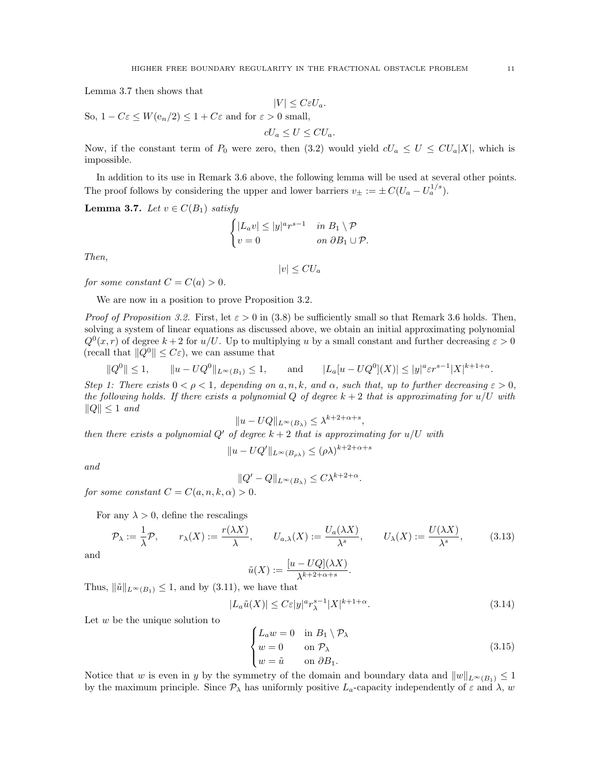Lemma 3.7 then shows that

$$
|V| \leq C \varepsilon U_a.
$$

So,  $1 - C\varepsilon \leq W(e_n/2) \leq 1 + C\varepsilon$  and for  $\varepsilon > 0$  small,

$$
cU_a \le U \le CU_a.
$$

Now, if the constant term of  $P_0$  were zero, then (3.2) would yield  $cU_a \leq U \leq CU_a|X|$ , which is impossible.

In addition to its use in Remark 3.6 above, the following lemma will be used at several other points. The proof follows by considering the upper and lower barriers  $v_{\pm} := \pm C (U_a - U_a^{1/s})$ .

**Lemma 3.7.** Let  $v \in C(B_1)$  satisfy

$$
\begin{cases} |L_a v| \le |y|^a r^{s-1} & \text{in } B_1 \setminus \mathcal{P} \\ v = 0 & \text{on } \partial B_1 \cup \mathcal{P}. \end{cases}
$$

Then,

$$
|v| \leq C U_a
$$

for some constant  $C = C(a) > 0$ .

We are now in a position to prove Proposition 3.2.

*Proof of Proposition 3.2.* First, let  $\varepsilon > 0$  in (3.8) be sufficiently small so that Remark 3.6 holds. Then, solving a system of linear equations as discussed above, we obtain an initial approximating polynomial  $Q^{0}(x, r)$  of degree  $k + 2$  for  $u/U$ . Up to multiplying u by a small constant and further decreasing  $\varepsilon > 0$ (recall that  $||Q^0|| \leq C\varepsilon$ ), we can assume that

$$
||Q^0|| \le 1
$$
,  $||u - UQ^0||_{L^{\infty}(B_1)} \le 1$ , and  $|L_a[u - UQ^0](X)| \le |y|^a \varepsilon r^{s-1}|X|^{k+1+\alpha}$ .

Step 1: There exists  $0 < \rho < 1$ , depending on a, n, k, and  $\alpha$ , such that, up to further decreasing  $\varepsilon > 0$ , the following holds. If there exists a polynomial Q of degree  $k + 2$  that is approximating for  $u/U$  with  $||Q|| \leq 1$  and

$$
||u - UQ||_{L^{\infty}(B_{\lambda})} \leq \lambda^{k+2+\alpha+s},
$$

then there exists a polynomial Q' of degree  $k + 2$  that is approximating for  $u/U$  with

$$
||u - UQ'||_{L^{\infty}(B_{\rho\lambda})} \leq (\rho\lambda)^{k+2+\alpha+s}
$$

and

$$
||Q'-Q||_{L^{\infty}(B_{\lambda})} \leq C\lambda^{k+2+\alpha}.
$$

for some constant  $C = C(a, n, k, \alpha) > 0$ .

For any  $\lambda > 0$ , define the rescalings

$$
\mathcal{P}_{\lambda} := \frac{1}{\lambda} \mathcal{P}, \qquad r_{\lambda}(X) := \frac{r(\lambda X)}{\lambda}, \qquad U_{a,\lambda}(X) := \frac{U_a(\lambda X)}{\lambda^s}, \qquad U_{\lambda}(X) := \frac{U(\lambda X)}{\lambda^s}, \tag{3.13}
$$

and

$$
\tilde{u}(X) := \frac{[u - UQ](\lambda X)}{\lambda^{k+2+\alpha+s}}.
$$

Thus,  $\|\tilde{u}\|_{L^{\infty}(B_1)} \leq 1$ , and by (3.11), we have that

$$
|L_a \tilde{u}(X)| \le C\varepsilon |y|^a r_\lambda^{s-1} |X|^{k+1+\alpha}.
$$
\n(3.14)

Let  $w$  be the unique solution to

$$
\begin{cases}\nL_a w = 0 & \text{in } B_1 \setminus \mathcal{P}_\lambda \\
w = 0 & \text{on } \mathcal{P}_\lambda \\
w = \tilde{u} & \text{on } \partial B_1.\n\end{cases}
$$
\n(3.15)

Notice that w is even in y by the symmetry of the domain and boundary data and  $||w||_{L^{\infty}(B_1)} \leq 1$ by the maximum principle. Since  $P_{\lambda}$  has uniformly positive  $L_a$ -capacity independently of  $\varepsilon$  and  $\lambda$ , w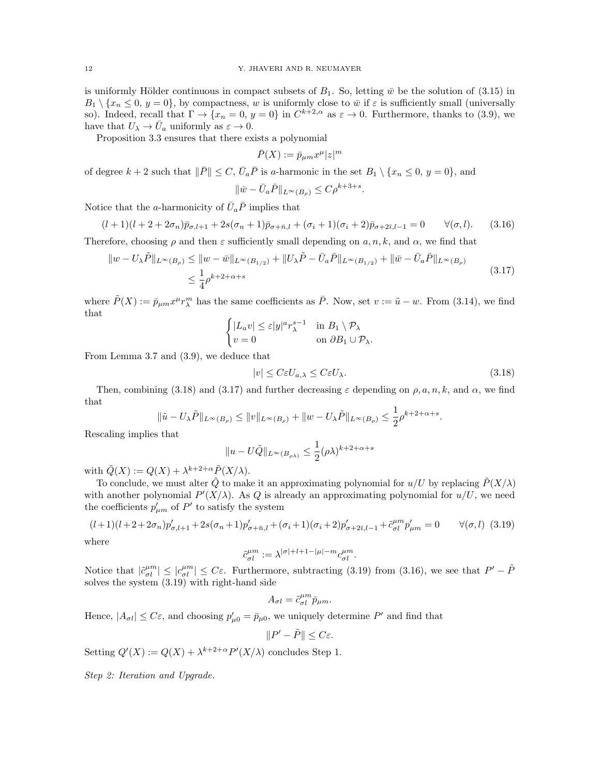is uniformly Hölder continuous in compact subsets of  $B_1$ . So, letting  $\bar{w}$  be the solution of (3.15) in  $B_1 \setminus \{x_n \leq 0, y = 0\}$ , by compactness, w is uniformly close to  $\bar{w}$  if  $\varepsilon$  is sufficiently small (universally so). Indeed, recall that  $\Gamma \to \{x_n = 0, y = 0\}$  in  $C^{k+2,\alpha}$  as  $\varepsilon \to 0$ . Furthermore, thanks to (3.9), we have that  $U_{\lambda} \to \bar{U}_a$  uniformly as  $\varepsilon \to 0$ .

Proposition 3.3 ensures that there exists a polynomial

$$
\bar{P}(X) := \bar{p}_{\mu m} x^{\mu} |z|^m
$$

of degree  $k + 2$  such that  $\|\bar{P}\| \leq C$ ,  $\bar{U}_a \bar{P}$  is a-harmonic in the set  $B_1 \setminus \{x_n \leq 0, y = 0\}$ , and

$$
\|\bar{w} - \bar{U}_a \bar{P}\|_{L^{\infty}(B_{\rho})} \le C\rho^{k+3+s}.
$$

Notice that the *a*-harmonicity of  $\bar{U}_a \bar{P}$  implies that

$$
(l+1)(l+2+2\sigma_n)\bar{p}_{\sigma,l+1} + 2s(\sigma_n+1)\bar{p}_{\sigma+\bar{n},l} + (\sigma_i+1)(\sigma_i+2)\bar{p}_{\sigma+2\bar{\imath},l-1} = 0 \qquad \forall (\sigma,l). \tag{3.16}
$$

Therefore, choosing  $\rho$  and then  $\varepsilon$  sufficiently small depending on  $a, n, k$ , and  $\alpha$ , we find that

$$
\|w - U_{\lambda}\tilde{P}\|_{L^{\infty}(B_{\rho})} \le \|w - \bar{w}\|_{L^{\infty}(B_{1/2})} + \|U_{\lambda}\tilde{P} - \bar{U}_{a}\bar{P}\|_{L^{\infty}(B_{1/2})} + \|\bar{w} - \bar{U}_{a}\bar{P}\|_{L^{\infty}(B_{\rho})}
$$
  

$$
\le \frac{1}{4}\rho^{k+2+\alpha+s}
$$
\n(3.17)

where  $\tilde{P}(X) := \bar{p}_{\mu m} x^{\mu} r_{\lambda}^{m}$  has the same coefficients as  $\bar{P}$ . Now, set  $v := \tilde{u} - w$ . From (3.14), we find that

$$
\begin{cases} |L_a v| \le \varepsilon |y|^a r_\lambda^{s-1} & \text{in } B_1 \setminus \mathcal{P}_\lambda \\ v = 0 & \text{on } \partial B_1 \cup \mathcal{P}_\lambda. \end{cases}
$$

From Lemma 3.7 and (3.9), we deduce that

$$
|v| \leq C\varepsilon U_{a,\lambda} \leq C\varepsilon U_{\lambda}.\tag{3.18}
$$

Then, combining (3.18) and (3.17) and further decreasing  $\varepsilon$  depending on  $\rho, a, n, k$ , and  $\alpha$ , we find that

$$
\|\tilde{u} - U_{\lambda}\tilde{P}\|_{L^{\infty}(B_{\rho})} \le \|v\|_{L^{\infty}(B_{\rho})} + \|w - U_{\lambda}\tilde{P}\|_{L^{\infty}(B_{\rho})} \le \frac{1}{2}\rho^{k+2+\alpha+s}.
$$

Rescaling implies that

$$
||u - U\tilde{Q}||_{L^{\infty}(B_{\rho\lambda})} \le \frac{1}{2}(\rho\lambda)^{k+2+\alpha+s}
$$

with  $\tilde{Q}(X) := Q(X) + \lambda^{k+2+\alpha} \tilde{P}(X/\lambda)$ .

To conclude, we must alter  $\tilde{Q}$  to make it an approximating polynomial for  $u/U$  by replacing  $\tilde{P}(X/\lambda)$ with another polynomial  $P'(X/\lambda)$ . As Q is already an approximating polynomial for  $u/U$ , we need the coefficients  $p'_{\mu m}$  of  $P'$  to satisfy the system

$$
(l+1)(l+2+2\sigma_n)p'_{\sigma,l+1} + 2s(\sigma_n+1)p'_{\sigma+\bar{n},l} + (\sigma_i+1)(\sigma_i+2)p'_{\sigma+2\bar{n},l-1} + \tilde{c}_{\sigma l}^{\mu m}p'_{\mu m} = 0 \qquad \forall (\sigma,l) \tag{3.19}
$$
where

where

$$
\tilde{c}_{\sigma l}^{\mu m}:=\lambda^{|\sigma|+l+1-|\mu|-m}c_{\sigma l}^{\mu m}.
$$

Notice that  $|\tilde{c}^{\mu m}_{\sigma l}| \leq |c^{\mu m}_{\sigma l}| \leq C\varepsilon$ . Furthermore, subtracting (3.19) from (3.16), we see that  $P' - \tilde{P}$ solves the system (3.19) with right-hand side

$$
A_{\sigma l} = \tilde{c}_{\sigma l}^{\mu m} \bar{p}_{\mu m}.
$$

Hence,  $|A_{\sigma l}| \leq C\varepsilon$ , and choosing  $p'_{\mu 0} = \bar{p}_{\mu 0}$ , we uniquely determine P' and find that

$$
||P' - \tilde{P}|| \leq C\varepsilon.
$$

Setting  $Q'(X) := Q(X) + \lambda^{k+2+\alpha} P'(X/\lambda)$  concludes Step 1.

Step 2: Iteration and Upgrade.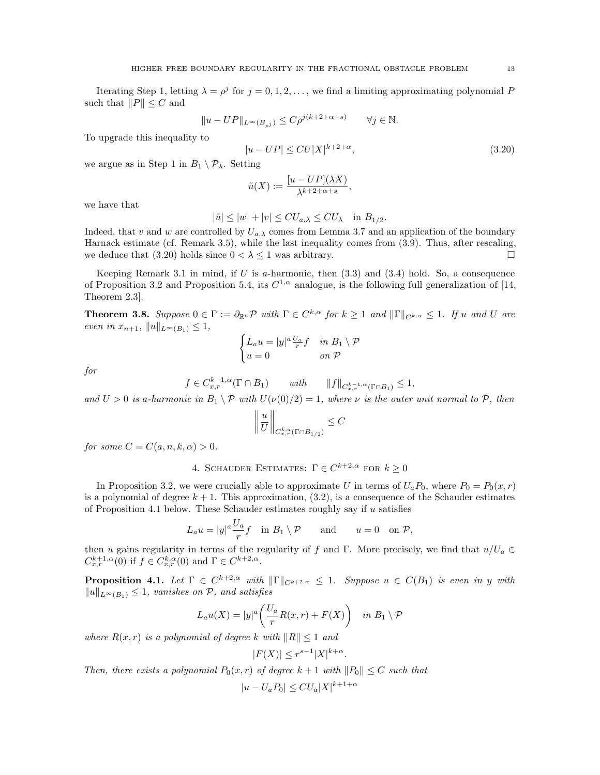Iterating Step 1, letting  $\lambda = \rho^j$  for  $j = 0, 1, 2, \ldots$ , we find a limiting approximating polynomial F such that  $||P|| \leq C$  and

$$
||u - UP||_{L^{\infty}(B_{\rho^j})} \leq C\rho^{j(k+2+\alpha+s)} \qquad \forall j \in \mathbb{N}.
$$

To upgrade this inequality to

$$
|u - UP| \leq CU|X|^{k+2+\alpha},\tag{3.20}
$$

we argue as in Step 1 in  $B_1 \setminus \mathcal{P}_\lambda$ . Setting

$$
\tilde{u}(X) := \frac{[u - UP](\lambda X)}{\lambda^{k+2+\alpha+s}},
$$

we have that

$$
|\tilde{u}| \le |w| + |v| \le CU_{a,\lambda} \le CU_{\lambda} \quad \text{in } B_{1/2}.
$$

Indeed, that v and w are controlled by  $U_{a,\lambda}$  comes from Lemma 3.7 and an application of the boundary Harnack estimate (cf. Remark 3.5), while the last inequality comes from (3.9). Thus, after rescaling, we deduce that (3.20) holds since  $0 < \lambda \leq 1$  was arbitrary.

Keeping Remark 3.1 in mind, if  $U$  is a-harmonic, then  $(3.3)$  and  $(3.4)$  hold. So, a consequence of Proposition 3.2 and Proposition 5.4, its  $C^{1,\alpha}$  analogue, is the following full generalization of [14, Theorem 2.3].

**Theorem 3.8.** Suppose  $0 \in \Gamma := \partial_{\mathbb{R}^n} \mathcal{P}$  with  $\Gamma \in C^{k,\alpha}$  for  $k \geq 1$  and  $\|\Gamma\|_{C^{k,\alpha}} \leq 1$ . If u and U are even in  $x_{n+1}$ ,  $||u||_{L^{\infty}(B_1)} \leq 1$ ,

$$
\begin{cases} L_a u = |y|^a \frac{U_a}{r} f & \text{in } B_1 \setminus \mathcal{P} \\ u = 0 & \text{on } \mathcal{P} \end{cases}
$$

for

$$
f \in C_{x,r}^{k-1,\alpha}(\Gamma \cap B_1)
$$
 with  $||f||_{C_{x,r}^{k-1,\alpha}(\Gamma \cap B_1)} \leq 1$ ,

and  $U > 0$  is a-harmonic in  $B_1 \setminus \mathcal{P}$  with  $U(\nu(0)/2) = 1$ , where  $\nu$  is the outer unit normal to  $\mathcal{P}$ , then

$$
\left\|\frac{u}{U}\right\|_{C^{k,a}_{x,r}(\Gamma\cap B_{1/2})}\leq C
$$

for some  $C = C(a, n, k, \alpha) > 0$ .

4. SCHAUDER ESTIMATES:  $\Gamma \in C^{k+2,\alpha}$  for  $k \geq 0$ 

In Proposition 3.2, we were crucially able to approximate U in terms of  $U_a P_0$ , where  $P_0 = P_0(x, r)$ is a polynomial of degree  $k + 1$ . This approximation,  $(3.2)$ , is a consequence of the Schauder estimates of Proposition 4.1 below. These Schauder estimates roughly say if  $u$  satisfies

$$
L_a u = |y|^a \frac{U_a}{r} f \quad \text{in } B_1 \setminus \mathcal{P} \qquad \text{and} \qquad u = 0 \quad \text{on } \mathcal{P},
$$

then u gains regularity in terms of the regularity of f and Γ. More precisely, we find that  $u/U_a \in$  $C_{x,r}^{k+1,\alpha}(0)$  if  $f \in C_{x,r}^{k,\alpha}(0)$  and  $\Gamma \in C^{k+2,\alpha}$ .

**Proposition 4.1.** Let  $\Gamma \in C^{k+2,\alpha}$  with  $\|\Gamma\|_{C^{k+2,\alpha}} \leq 1$ . Suppose  $u \in C(B_1)$  is even in y with  $||u||_{L^∞(B_1)} ≤ 1$ , vanishes on  $P$ , and satisfies

$$
L_a u(X) = |y|^a \left( \frac{U_a}{r} R(x, r) + F(X) \right) \quad \text{in } B_1 \setminus \mathcal{P}
$$

where  $R(x, r)$  is a polynomial of degree k with  $||R|| \le 1$  and

$$
|F(X)| \le r^{s-1}|X|^{k+\alpha}.
$$

Then, there exists a polynomial  $P_0(x, r)$  of degree  $k + 1$  with  $||P_0|| \leq C$  such that

$$
|u - U_a P_0| \leq C U_a |X|^{k+1+\alpha}
$$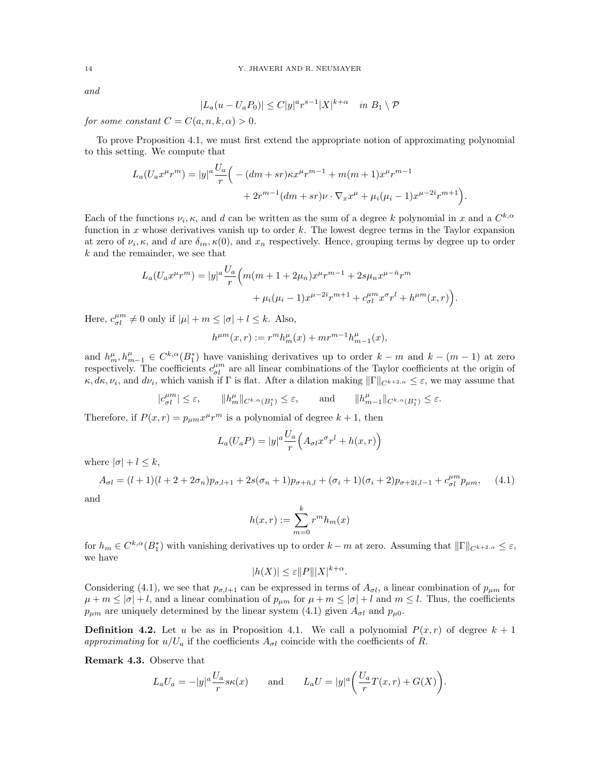and

$$
|L_a(u - U_a P_0)| \le C|y|^a r^{s-1} |X|^{k+\alpha} \quad \text{in } B_1 \setminus \mathcal{P}
$$

for some constant  $C = C(a, n, k, \alpha) > 0$ .

To prove Proposition 4.1, we must first extend the appropriate notion of approximating polynomial to this setting. We compute that

$$
L_a(U_ax^\mu r^m) = |y|^a \frac{U_a}{r} \Big( -(dm+sr)\kappa x^\mu r^{m-1} + m(m+1)x^\mu r^{m-1} + 2r^{m-1}(dm+sr)\nu \cdot \nabla_x x^\mu + \mu_i(\mu_i-1)x^{\mu-2\bar{\imath}}r^{m+1} \Big).
$$

Each of the functions  $\nu_i$ ,  $\kappa$ , and d can be written as the sum of a degree k polynomial in x and a  $C^{k,\alpha}$ function in x whose derivatives vanish up to order k. The lowest degree terms in the Taylor expansion at zero of  $\nu_i$ ,  $\kappa$ , and d are  $\delta_{in}$ ,  $\kappa(0)$ , and  $x_n$  respectively. Hence, grouping terms by degree up to order k and the remainder, we see that

$$
L_a(U_ax^\mu r^m) = |y|^a \frac{U_a}{r} \Big( m(m+1+2\mu_n)x^\mu r^{m-1} + 2s\mu_n x^{\mu-\bar{n}}r^m + \mu_i(\mu_i-1)x^{\mu-2\bar{i}}r^{m+1} + c_{\sigma l}^{\mu m}x^\sigma r^l + h^{\mu m}(x,r) \Big).
$$

Here,  $c_{\sigma l}^{\mu m} \neq 0$  only if  $|\mu| + m \leq |\sigma| + l \leq k$ . Also,

$$
h^{\mu m}(x,r) := r^m h_m^{\mu}(x) + m r^{m-1} h_{m-1}^{\mu}(x),
$$

and  $h_m^{\mu}, h_{m-1}^{\mu} \in C^{k,\alpha}(B_1^*)$  have vanishing derivatives up to order  $k-m$  and  $k-(m-1)$  at zero respectively. The coefficients  $c_{\sigma l}^{\mu m}$  are all linear combinations of the Taylor coefficients at the origin of  $\kappa, d\kappa, \nu_i$ , and  $d\nu_i$ , which vanish if  $\Gamma$  is flat. After a dilation making  $\|\Gamma\|_{C^{k+2,\alpha}} \leq \varepsilon$ , we may assume that

> $|c_{\sigma l}^{\mu m}| \leq \varepsilon, \qquad \|h_m^{\mu}\|_{C^{k,\alpha}(B_1^*)} \leq \varepsilon, \qquad \text{and} \qquad \|h$  $_{m-1}^{\mu}$ ||<sub>C</sub>k, $\alpha$ <sub>(B<sup>\*</sup></sup>)</sub>  $\leq \varepsilon$ .

Therefore, if  $P(x,r) = p_{\mu m} x^{\mu} r^m$  is a polynomial of degree  $k + 1$ , then

$$
L_a(U_a P) = |y|^a \frac{U_a}{r} \Big( A_{\sigma l} x^{\sigma} r^l + h(x, r) \Big)
$$

where  $|\sigma| + l \leq k$ ,

$$
A_{\sigma l} = (l+1)(l+2+2\sigma_n)p_{\sigma,l+1} + 2s(\sigma_n+1)p_{\sigma+\bar{n},l} + (\sigma_i+1)(\sigma_i+2)p_{\sigma+2\bar{\imath},l-1} + c_{\sigma l}^{\mu m}p_{\mu m}, \quad (4.1)
$$

and

$$
h(x,r) := \sum_{m=0}^{k} r^m h_m(x)
$$

for  $h_m \in C^{k,\alpha}(B_1^*)$  with vanishing derivatives up to order  $k-m$  at zero. Assuming that  $\|\Gamma\|_{C^{k+2,\alpha}} \leq \varepsilon$ , we have

 $|h(X)| \leq \varepsilon ||P|| |X|^{k+\alpha}.$ 

Considering (4.1), we see that  $p_{\sigma,l+1}$  can be expressed in terms of  $A_{\sigma l}$ , a linear combination of  $p_{\mu m}$  for  $\mu + m \leq |\sigma| + l$ , and a linear combination of  $p_{\mu m}$  for  $\mu + m \leq |\sigma| + l$  and  $m \leq l$ . Thus, the coefficients  $p_{\mu m}$  are uniquely determined by the linear system (4.1) given  $A_{\sigma l}$  and  $p_{\mu 0}$ .

**Definition 4.2.** Let u be as in Proposition 4.1. We call a polynomial  $P(x, r)$  of degree  $k + 1$ approximating for  $u/U_a$  if the coefficients  $A_{\sigma l}$  coincide with the coefficients of R.

Remark 4.3. Observe that

$$
L_a U_a = -|y|^a \frac{U_a}{r} s\kappa(x) \quad \text{and} \quad L_a U = |y|^a \left( \frac{U_a}{r} T(x, r) + G(X) \right).
$$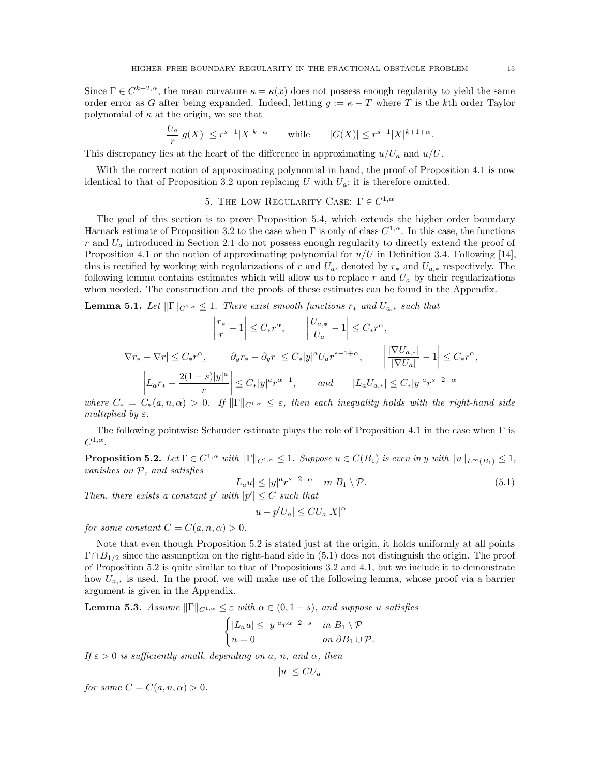Since  $\Gamma \in C^{k+2,\alpha}$ , the mean curvature  $\kappa = \kappa(x)$  does not possess enough regularity to yield the same order error as G after being expanded. Indeed, letting  $g := \kappa - T$  where T is the kth order Taylor polynomial of  $\kappa$  at the origin, we see that

$$
\frac{U_a}{r}|g(X)| \le r^{s-1}|X|^{k+\alpha} \qquad \text{while} \qquad |G(X)| \le r^{s-1}|X|^{k+1+\alpha}.
$$

This discrepancy lies at the heart of the difference in approximating  $u/U_a$  and  $u/U$ .

With the correct notion of approximating polynomial in hand, the proof of Proposition 4.1 is now identical to that of Proposition 3.2 upon replacing U with  $U_a$ ; it is therefore omitted.

5. THE LOW REGULARITY CASE:  $\Gamma \in C^{1,\alpha}$ 

The goal of this section is to prove Proposition 5.4, which extends the higher order boundary Harnack estimate of Proposition 3.2 to the case when  $\Gamma$  is only of class  $C^{1,\alpha}$ . In this case, the functions  $r$  and  $U_a$  introduced in Section 2.1 do not possess enough regularity to directly extend the proof of Proposition 4.1 or the notion of approximating polynomial for  $u/U$  in Definition 3.4. Following [14], this is rectified by working with regularizations of r and  $U_a$ , denoted by  $r_*$  and  $U_{a,*}$  respectively. The following lemma contains estimates which will allow us to replace r and  $U_a$  by their regularizations when needed. The construction and the proofs of these estimates can be found in the Appendix.

**Lemma 5.1.** Let  $\|\Gamma\|_{C^{1,\alpha}} \leq 1$ . There exist smooth functions  $r_*$  and  $U_{a,*}$  such that

$$
\left|\frac{r_*}{r} - 1\right| \leq C_* r^{\alpha}, \qquad \left|\frac{U_{a,*}}{U_a} - 1\right| \leq C_* r^{\alpha},
$$
  

$$
|\nabla r_* - \nabla r| \leq C_* r^{\alpha}, \qquad |\partial_y r_* - \partial_y r| \leq C_* |y|^a U_a r^{s-1+\alpha}, \qquad \left|\frac{|\nabla U_{a,*}|}{|\nabla U_a|} - 1\right| \leq C_* r^{\alpha},
$$
  

$$
\left|L_a r_* - \frac{2(1-s)|y|^a}{r}\right| \leq C_* |y|^a r^{\alpha-1}, \qquad and \qquad |L_a U_{a,*}| \leq C_* |y|^a r^{s-2+\alpha}
$$

where  $C_* = C_*(a, n, \alpha) > 0$ . If  $\|\Gamma\|_{C^{1,\alpha}} \leq \varepsilon$ , then each inequality holds with the right-hand side multiplied by  $\varepsilon$ .

The following pointwise Schauder estimate plays the role of Proposition 4.1 in the case when  $\Gamma$  is  $C^{1,\alpha}.$ 

**Proposition 5.2.** Let  $\Gamma \in C^{1,\alpha}$  with  $\|\Gamma\|_{C^{1,\alpha}} \leq 1$ . Suppose  $u \in C(B_1)$  is even in y with  $\|u\|_{L^{\infty}(B_1)} \leq 1$ , vanishes on P, and satisfies

$$
|L_a u| \le |y|^a r^{s-2+\alpha} \quad \text{in } B_1 \setminus \mathcal{P}. \tag{5.1}
$$

Then, there exists a constant p' with  $|p'| \leq C$  such that

$$
|u - p'U_a| \leq C U_a |X|^\alpha
$$

for some constant  $C = C(a, n, \alpha) > 0$ .

Note that even though Proposition 5.2 is stated just at the origin, it holds uniformly at all points  $\Gamma \cap B_{1/2}$  since the assumption on the right-hand side in (5.1) does not distinguish the origin. The proof of Proposition 5.2 is quite similar to that of Propositions 3.2 and 4.1, but we include it to demonstrate how  $U_{a,*}$  is used. In the proof, we will make use of the following lemma, whose proof via a barrier argument is given in the Appendix.

**Lemma 5.3.** Assume  $\|\Gamma\|_{C^{1,\alpha}} \leq \varepsilon$  with  $\alpha \in (0, 1-s)$ , and suppose u satisfies

$$
\begin{cases} |L_a u| \le |y|^a r^{\alpha - 2 + s} & \text{in } B_1 \setminus \mathcal{P} \\ u = 0 & \text{on } \partial B_1 \cup \mathcal{P}. \end{cases}
$$

If  $\varepsilon > 0$  is sufficiently small, depending on a, n, and  $\alpha$ , then

$$
|u| \leq C U_a
$$

for some  $C = C(a, n, \alpha) > 0$ .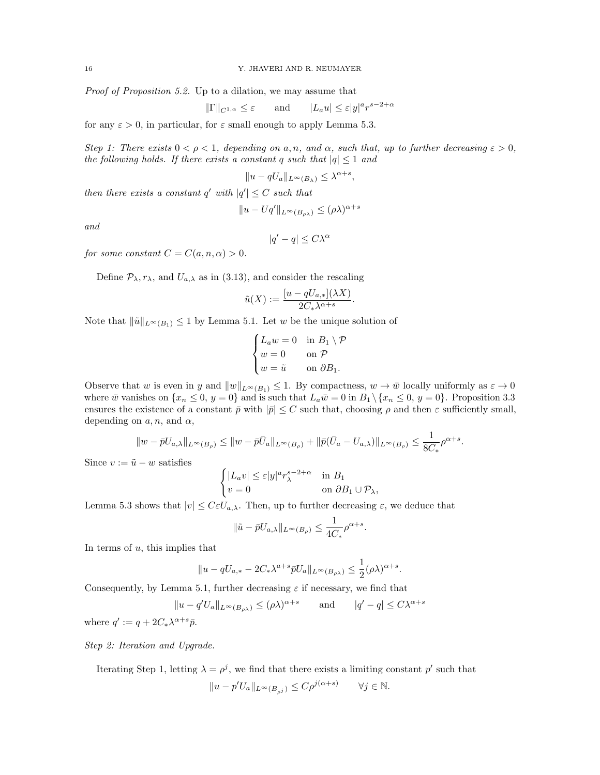Proof of Proposition 5.2. Up to a dilation, we may assume that

$$
\|\Gamma\|_{C^{1,\alpha}} \le \varepsilon \qquad \text{and} \qquad |L_a u| \le \varepsilon |y|^a r^{s-2+\alpha}
$$

for any  $\varepsilon > 0$ , in particular, for  $\varepsilon$  small enough to apply Lemma 5.3.

Step 1: There exists  $0 < \rho < 1$ , depending on a, n, and  $\alpha$ , such that, up to further decreasing  $\varepsilon > 0$ , the following holds. If there exists a constant q such that  $|q| \leq 1$  and

$$
||u - qU_a||_{L^{\infty}(B_{\lambda})} \leq \lambda^{\alpha + s},
$$

then there exists a constant q' with  $|q'| \leq C$  such that

$$
||u - Uq'||_{L^{\infty}(B_{\rho\lambda})} \leq (\rho\lambda)^{\alpha+s}
$$

and

$$
|q'-q|\leq C\lambda^\alpha
$$

for some constant  $C = C(a, n, \alpha) > 0$ .

Define  $\mathcal{P}_{\lambda}, r_{\lambda}$ , and  $U_{a,\lambda}$  as in (3.13), and consider the rescaling

$$
\tilde{u}(X) := \frac{[u - qU_{a,*}](\lambda X)}{2C_*\lambda^{\alpha+s}}.
$$

Note that  $\|\tilde{u}\|_{L^{\infty}(B_1)} \leq 1$  by Lemma 5.1. Let w be the unique solution of

$$
\begin{cases} L_a w = 0 & \text{in } B_1 \setminus \mathcal{P} \\ w = 0 & \text{on } \mathcal{P} \\ w = \tilde{u} & \text{on } \partial B_1. \end{cases}
$$

Observe that w is even in y and  $||w||_{L^{\infty}(B_1)} \leq 1$ . By compactness,  $w \to \bar{w}$  locally uniformly as  $\varepsilon \to 0$ where  $\bar{w}$  vanishes on  $\{x_n \leq 0, y = 0\}$  and is such that  $L_a \bar{w} = 0$  in  $B_1 \setminus \{x_n \leq 0, y = 0\}$ . Proposition 3.3 ensures the existence of a constant  $\bar{p}$  with  $|\bar{p}| \leq C$  such that, choosing  $\rho$  and then  $\varepsilon$  sufficiently small, depending on  $a, n$ , and  $\alpha$ ,

$$
||w-\bar p U_{a,\lambda}||_{L^\infty(B_\rho)} \leq ||w-\bar p \bar U_a||_{L^\infty(B_\rho)}+||\bar p (\bar U_a-U_{a,\lambda})||_{L^\infty(B_\rho)} \leq \frac{1}{8C_*} \rho^{\alpha+s}.
$$

Since  $v := \tilde{u} - w$  satisfies

$$
\begin{cases} |L_a v| \le \varepsilon |y|^a r_\lambda^{s-2+\alpha} & \text{in } B_1 \\ v = 0 & \text{on } \partial B_1 \cup \mathcal{P}_\lambda, \end{cases}
$$

Lemma 5.3 shows that  $|v| \leq C\varepsilon U_{a,\lambda}$ . Then, up to further decreasing  $\varepsilon$ , we deduce that

$$
\|\tilde{u} - \bar{p}U_{a,\lambda}\|_{L^{\infty}(B_{\rho})} \le \frac{1}{4C_*} \rho^{\alpha+s}
$$

.

In terms of  $u$ , this implies that

$$
||u - qU_{a,*} - 2C_*\lambda^{a+s}\bar{p}U_a||_{L^\infty(B_{\rho\lambda})} \le \frac{1}{2}(\rho\lambda)^{\alpha+s}.
$$

Consequently, by Lemma 5.1, further decreasing  $\varepsilon$  if necessary, we find that

$$
||u - q'U_a||_{L^{\infty}(B_{\rho\lambda})} \leq (\rho\lambda)^{\alpha+s}
$$
 and  $|q' - q| \leq C\lambda^{\alpha+s}$ 

where  $q' := q + 2C_*\lambda^{\alpha+s}\bar{p}$ .

Step 2: Iteration and Upgrade.

Iterating Step 1, letting  $\lambda = \rho^j$ , we find that there exists a limiting constant  $p'$  such that  $||u - p'U_a||_{L^{\infty}(B_{\rho^j})} \leq C\rho^{j(\alpha+s)}$   $\forall j \in \mathbb{N}$ .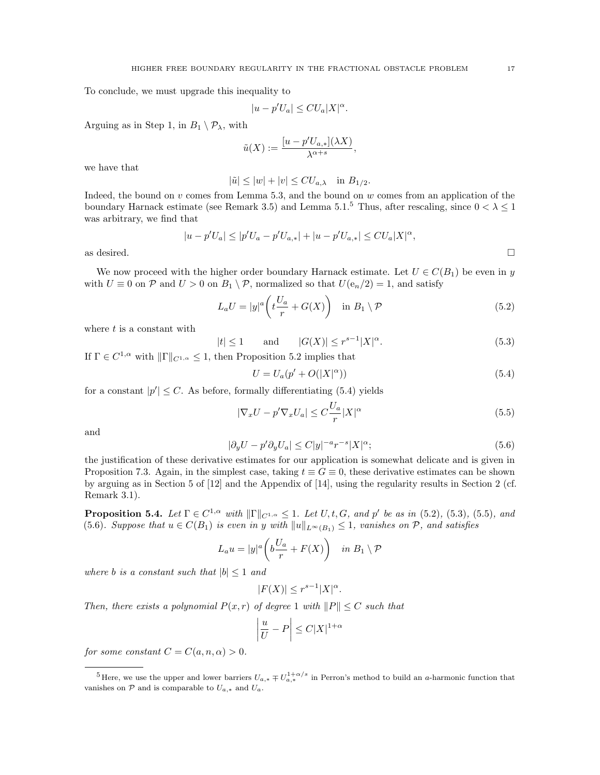To conclude, we must upgrade this inequality to

$$
|u - p'U_a| \leq C U_a |X|^\alpha.
$$

Arguing as in Step 1, in  $B_1 \setminus \mathcal{P}_\lambda$ , with

$$
\tilde{u}(X):=\frac{[u-p'U_{a,*}](\lambda X)}{\lambda^{\alpha+s}},
$$

we have that

$$
|\tilde{u}| \le |w| + |v| \le C U_{a,\lambda} \quad \text{in } B_{1/2}.
$$

Indeed, the bound on  $v$  comes from Lemma 5.3, and the bound on  $w$  comes from an application of the boundary Harnack estimate (see Remark 3.5) and Lemma 5.1.<sup>5</sup> Thus, after rescaling, since  $0 < \lambda \leq 1$ was arbitrary, we find that

$$
|u - p'U_a| \le |p'U_a - p'U_{a,*}| + |u - p'U_{a,*}| \le C U_a |X|^\alpha,
$$
 as desired.

We now proceed with the higher order boundary Harnack estimate. Let  $U \in C(B_1)$  be even in y with  $U \equiv 0$  on  $P$  and  $U > 0$  on  $B_1 \setminus P$ , normalized so that  $U(e_n/2) = 1$ , and satisfy

$$
L_a U = |y|^a \left( t \frac{U_a}{r} + G(X) \right) \quad \text{in } B_1 \setminus \mathcal{P}
$$
\n
$$
(5.2)
$$

where  $t$  is a constant with

$$
|t| \le 1 \qquad \text{and} \qquad |G(X)| \le r^{s-1}|X|^{\alpha}.
$$

If  $\Gamma \in C^{1,\alpha}$  with  $\|\Gamma\|_{C^{1,\alpha}} \leq 1$ , then Proposition 5.2 implies that

$$
U = U_a(p' + O(|X|^\alpha))\tag{5.4}
$$

for a constant  $|p'| \leq C$ . As before, formally differentiating (5.4) yields

$$
|\nabla_x U - p'\nabla_x U_a| \le C\frac{U_a}{r}|X|^\alpha \tag{5.5}
$$

and

$$
|\partial_y U - p' \partial_y U_a| \le C|y|^{-a} r^{-s} |X|^\alpha; \tag{5.6}
$$

the justification of these derivative estimates for our application is somewhat delicate and is given in Proposition 7.3. Again, in the simplest case, taking  $t \equiv G \equiv 0$ , these derivative estimates can be shown by arguing as in Section 5 of [12] and the Appendix of [14], using the regularity results in Section 2 (cf. Remark 3.1).

**Proposition 5.4.** Let  $\Gamma \in C^{1,\alpha}$  with  $\|\Gamma\|_{C^{1,\alpha}} \leq 1$ . Let  $U, t, G,$  and  $p'$  be as in (5.2), (5.3), (5.5), and (5.6). Suppose that  $u \in C(B_1)$  is even in y with  $||u||_{L^{\infty}(B_1)} \leq 1$ , vanishes on P, and satisfies

$$
L_a u = |y|^a \left( b \frac{U_a}{r} + F(X) \right) \quad \text{in } B_1 \setminus \mathcal{P}
$$

where b is a constant such that  $|b| \leq 1$  and

$$
|F(X)| \le r^{s-1}|X|^{\alpha}.
$$

Then, there exists a polynomial  $P(x, r)$  of degree 1 with  $||P|| \leq C$  such that

$$
\left|\frac{u}{U} - P\right| \le C|X|^{1+\alpha}
$$

for some constant  $C = C(a, n, \alpha) > 0$ .

<sup>&</sup>lt;sup>5</sup>Here, we use the upper and lower barriers  $U_{a,*} \mp U_{a,*}^{1+\alpha/s}$  in Perron's method to build an *a*-harmonic function that vanishes on  $P$  and is comparable to  $U_{a,*}$  and  $U_a$ .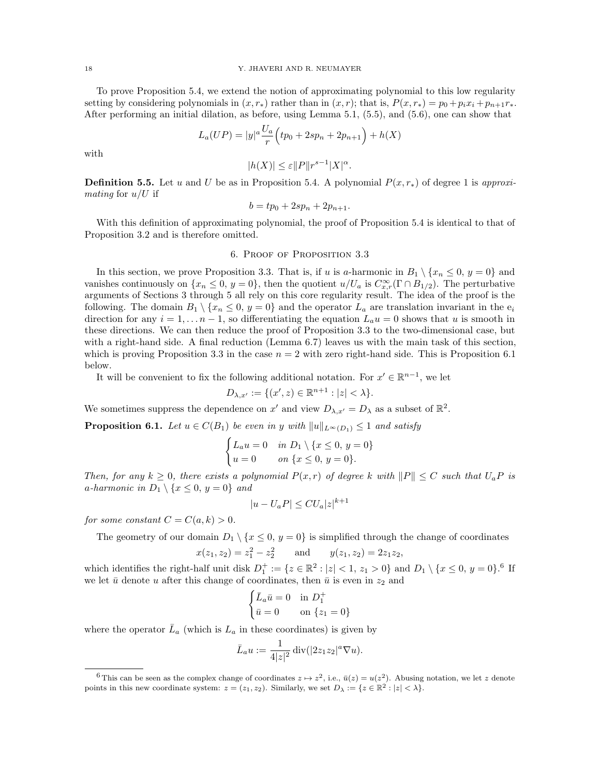### 18 Y. JHAVERI AND R. NEUMAYER

To prove Proposition 5.4, we extend the notion of approximating polynomial to this low regularity setting by considering polynomials in  $(x, r_*)$  rather than in  $(x, r)$ ; that is,  $P(x, r_*) = p_0 + p_i x_i + p_{n+1} r_*$ . After performing an initial dilation, as before, using Lemma 5.1, (5.5), and (5.6), one can show that

$$
L_a(UP) = |y|^a \frac{U_a}{r} \left( tp_0 + 2sp_n + 2p_{n+1} \right) + h(X)
$$

with

$$
|h(X)|\leq \varepsilon\|P\|r^{s-1}|X|^{\alpha}.
$$

**Definition 5.5.** Let u and U be as in Proposition 5.4. A polynomial  $P(x, r_*)$  of degree 1 is approximating for  $u/U$  if

$$
b = tp_0 + 2sp_n + 2p_{n+1}.
$$

With this definition of approximating polynomial, the proof of Proposition 5.4 is identical to that of Proposition 3.2 and is therefore omitted.

#### 6. Proof of Proposition 3.3

In this section, we prove Proposition 3.3. That is, if u is a-harmonic in  $B_1 \setminus \{x_n \leq 0, y = 0\}$  and vanishes continuously on  $\{x_n \leq 0, y = 0\}$ , then the quotient  $u/U_a$  is  $C^{\infty}_{x,r}(\Gamma \cap B_{1/2})$ . The perturbative arguments of Sections 3 through 5 all rely on this core regularity result. The idea of the proof is the following. The domain  $B_1 \setminus \{x_n \leq 0, y = 0\}$  and the operator  $L_a$  are translation invariant in the  $e_i$ direction for any  $i = 1, \ldots n - 1$ , so differentiating the equation  $L_a u = 0$  shows that u is smooth in these directions. We can then reduce the proof of Proposition 3.3 to the two-dimensional case, but with a right-hand side. A final reduction (Lemma 6.7) leaves us with the main task of this section, which is proving Proposition 3.3 in the case  $n = 2$  with zero right-hand side. This is Proposition 6.1 below.

It will be convenient to fix the following additional notation. For  $x' \in \mathbb{R}^{n-1}$ , we let

$$
D_{\lambda,x'}:=\{(x',z)\in\mathbb{R}^{n+1}:|z|<\lambda\}.
$$

We sometimes suppress the dependence on x' and view  $D_{\lambda,x'} = D_{\lambda}$  as a subset of  $\mathbb{R}^2$ .

**Proposition 6.1.** Let  $u \in C(B_1)$  be even in y with  $||u||_{L^{\infty}(D_1)} \leq 1$  and satisfy

$$
\begin{cases} L_a u = 0 & \text{in } D_1 \setminus \{x \le 0, y = 0\} \\ u = 0 & \text{on } \{x \le 0, y = 0\}. \end{cases}
$$

Then, for any  $k \geq 0$ , there exists a polynomial  $P(x, r)$  of degree k with  $||P|| \leq C$  such that  $U_a P$  is a-harmonic in  $D_1 \setminus \{x \leq 0, y = 0\}$  and

$$
|u - U_aP| \leq CU_a |z|^{k+1}
$$

for some constant  $C = C(a, k) > 0$ .

The geometry of our domain  $D_1 \setminus \{x \leq 0, y = 0\}$  is simplified through the change of coordinates  $x(z_1, z_2) = z_1^2 - z_2^2$  and  $y(z_1, z_2) = 2z_1z_2$ ,

which identifies the right-half unit disk  $D_1^+ := \{z \in \mathbb{R}^2 : |z| < 1, z_1 > 0\}$  and  $D_1 \setminus \{x \leq 0, y = 0\}$ .<sup>6</sup> If we let  $\bar{u}$  denote u after this change of coordinates, then  $\bar{u}$  is even in  $z_2$  and

$$
\begin{cases} \bar{L}_a \bar{u} = 0 & \text{in } D_1^+ \\ \bar{u} = 0 & \text{on } \{z_1 = 0\} \end{cases}
$$

where the operator  $\bar{L}_a$  (which is  $L_a$  in these coordinates) is given by

$$
\bar{L}_a u := \frac{1}{4|z|^2} \operatorname{div}(|2z_1 z_2|^a \nabla u).
$$

<sup>&</sup>lt;sup>6</sup>This can be seen as the complex change of coordinates  $z \mapsto z^2$ , i.e.,  $\bar{u}(z) = u(z^2)$ . Abusing notation, we let z denote points in this new coordinate system:  $z = (z_1, z_2)$ . Similarly, we set  $D_\lambda := \{z \in \mathbb{R}^2 : |z| < \lambda\}.$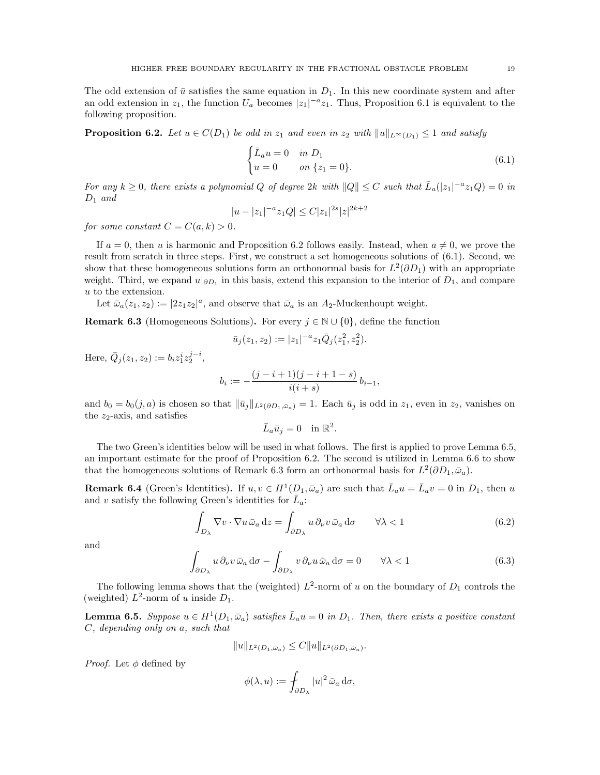The odd extension of  $\bar{u}$  satisfies the same equation in  $D_1$ . In this new coordinate system and after an odd extension in  $z_1$ , the function  $U_a$  becomes  $|z_1|^{-a}z_1$ . Thus, Proposition 6.1 is equivalent to the following proposition.

**Proposition 6.2.** Let  $u \in C(D_1)$  be odd in  $z_1$  and even in  $z_2$  with  $||u||_{L^{\infty}(D_1)} \leq 1$  and satisfy

$$
\begin{cases} \bar{L}_a u = 0 & \text{in } D_1 \\ u = 0 & \text{on } \{z_1 = 0\}. \end{cases}
$$
\n(6.1)

For any  $k \geq 0$ , there exists a polynomial Q of degree 2k with  $||Q|| \leq C$  such that  $\overline{L}_a(|z_1|^{-a}z_1Q) = 0$  in  $D_1$  and

$$
|u - |z_1|^{-a} z_1 Q| \le C |z_1|^{2s} |z|^{2k+2}
$$

for some constant  $C = C(a, k) > 0$ .

If  $a = 0$ , then u is harmonic and Proposition 6.2 follows easily. Instead, when  $a \neq 0$ , we prove the result from scratch in three steps. First, we construct a set homogeneous solutions of (6.1). Second, we show that these homogeneous solutions form an orthonormal basis for  $L^2(\partial D_1)$  with an appropriate weight. Third, we expand  $u|_{\partial D_1}$  in this basis, extend this expansion to the interior of  $D_1$ , and compare u to the extension.

Let  $\bar{\omega}_a(z_1, z_2) := |2z_1z_2|^a$ , and observe that  $\bar{\omega}_a$  is an  $A_2$ -Muckenhoupt weight.

**Remark 6.3** (Homogeneous Solutions). For every  $j \in \mathbb{N} \cup \{0\}$ , define the function

$$
\bar{u}_j(z_1, z_2) := |z_1|^{-a} z_1 \bar{Q}_j(z_1^2, z_2^2).
$$

Here,  $\bar{Q}_j(z_1, z_2) := b_i z_1^i z_2^{j-i}$ ,

$$
b_i := -\frac{(j-i+1)(j-i+1-s)}{i(i+s)} b_{i-1},
$$

and  $b_0 = b_0(j, a)$  is chosen so that  $\|\bar{u}_j\|_{L^2(\partial D_1, \bar{\omega}_a)} = 1$ . Each  $\bar{u}_j$  is odd in  $z_1$ , even in  $z_2$ , vanishes on the  $z_2$ -axis, and satisfies

$$
\bar{L}_a \bar{u}_j = 0 \quad \text{in } \mathbb{R}^2.
$$

The two Green's identities below will be used in what follows. The first is applied to prove Lemma 6.5, an important estimate for the proof of Proposition 6.2. The second is utilized in Lemma 6.6 to show that the homogeneous solutions of Remark 6.3 form an orthonormal basis for  $L^2(\partial D_1, \bar{\omega}_a)$ .

**Remark 6.4** (Green's Identities). If  $u, v \in H^1(D_1, \bar{\omega}_a)$  are such that  $\bar{L}_a u = \bar{L}_a v = 0$  in  $D_1$ , then u and v satisfy the following Green's identities for  $\overline{L}_a$ :

$$
\int_{D_{\lambda}} \nabla v \cdot \nabla u \,\bar{\omega}_a \,dz = \int_{\partial D_{\lambda}} u \,\partial_{\nu} v \,\bar{\omega}_a \,d\sigma \qquad \forall \lambda < 1 \tag{6.2}
$$

and

$$
\int_{\partial D_{\lambda}} u \, \partial_{\nu} v \, \bar{\omega}_a \, \mathrm{d}\sigma - \int_{\partial D_{\lambda}} v \, \partial_{\nu} u \, \bar{\omega}_a \, \mathrm{d}\sigma = 0 \qquad \forall \lambda < 1 \tag{6.3}
$$

The following lemma shows that the (weighted)  $L^2$ -norm of u on the boundary of  $D_1$  controls the (weighted)  $L^2$ -norm of u inside  $D_1$ .

**Lemma 6.5.** Suppose  $u \in H^1(D_1, \bar{\omega}_a)$  satisfies  $\bar{L}_a u = 0$  in  $D_1$ . Then, there exists a positive constant C, depending only on a, such that

$$
||u||_{L^{2}(D_{1},\bar{\omega}_{a})} \leq C||u||_{L^{2}(\partial D_{1},\bar{\omega}_{a})}.
$$

*Proof.* Let  $\phi$  defined by

$$
\phi(\lambda, u) := \int_{\partial D_{\lambda}} |u|^2 \,\bar{\omega}_a \,\mathrm{d}\sigma,
$$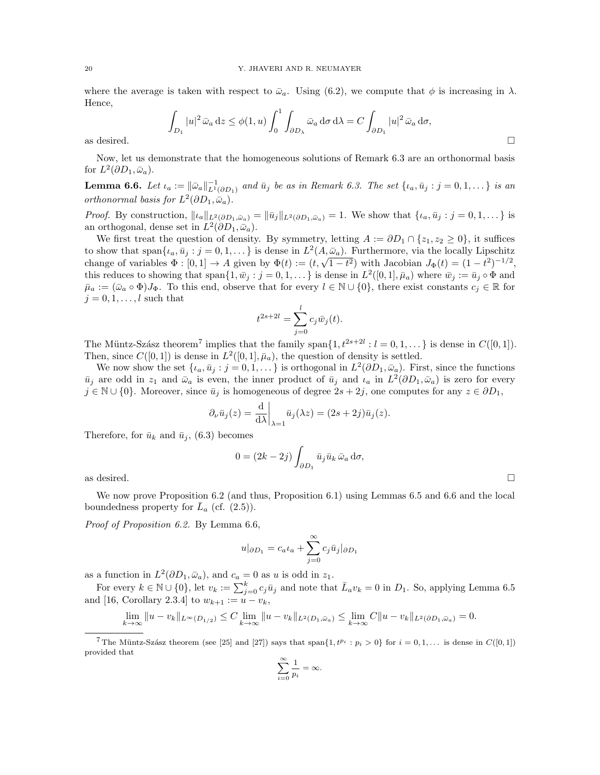where the average is taken with respect to  $\bar{\omega}_a$ . Using (6.2), we compute that  $\phi$  is increasing in  $\lambda$ . Hence,

$$
\int_{D_1} |u|^2 \,\bar{\omega}_a \,dz \le \phi(1, u) \int_0^1 \int_{\partial D_\lambda} \bar{\omega}_a \,d\sigma \,d\lambda = C \int_{\partial D_1} |u|^2 \,\bar{\omega}_a \,d\sigma,
$$
 as desired.

Now, let us demonstrate that the homogeneous solutions of Remark 6.3 are an orthonormal basis for  $L^2(\partial D_1, \bar{\omega}_a)$ .

**Lemma 6.6.** Let  $\iota_a := \|\bar{\omega}_a\|_{L^1(\partial D_1)}^{-1}$  and  $\bar{u}_j$  be as in Remark 6.3. The set  $\{\iota_a, \bar{u}_j : j = 0, 1, \dots\}$  is an orthonormal basis for  $L^2(\partial D_1, \bar{\omega}_a)$ .

*Proof.* By construction,  $||\iota_a||_{L^2(\partial D_1,\bar{\omega}_a)} = ||\bar{u}_j||_{L^2(\partial D_1,\bar{\omega}_a)} = 1$ . We show that  $\{\iota_a,\bar{u}_j:j=0,1,\ldots\}$  is an orthogonal, dense set in  $L^2(\partial D_1, \bar{\omega}_a)$ .

We first treat the question of density. By symmetry, letting  $A := \partial D_1 \cap \{z_1, z_2 \geq 0\}$ , it suffices to show that span $\{i_a, \bar{u}_j : j = 0, 1, \dots\}$  is dense in  $L^2(A, \bar{\omega}_a)$ . Furthermore, via the locally Lipschitz change of variables  $\Phi : [0,1] \to A$  given by  $\Phi(t) := (t,\sqrt{1-t^2})$  with Jacobian  $J_{\Phi}(t) = (1-t^2)^{-1/2}$ , this reduces to showing that span $\{1, \bar{w}_j : j = 0, 1, \dots\}$  is dense in  $L^2([0, 1], \bar{\mu}_a)$  where  $\bar{w}_j := \bar{u}_j \circ \Phi$  and  $\bar{\mu}_a := (\bar{\omega}_a \circ \Phi) J_{\Phi}$ . To this end, observe that for every  $l \in \mathbb{N} \cup \{0\}$ , there exist constants  $c_j \in \mathbb{R}$  for  $j = 0, 1, \ldots, l$  such that

$$
t^{2s+2l} = \sum_{j=0}^{l} c_j \bar{w}_j(t).
$$

The Müntz-Szász theorem<sup>7</sup> implies that the family span $\{1, t^{2s+2l} : l = 0, 1, \ldots\}$  is dense in  $C([0, 1]).$ Then, since  $C([0,1])$  is dense in  $L^2([0,1], \bar{\mu}_a)$ , the question of density is settled.

We now show the set  $\{i_a, \bar{u}_j : j = 0, 1, \ldots\}$  is orthogonal in  $L^2(\partial D_1, \bar{\omega}_a)$ . First, since the functions  $\bar{u}_j$  are odd in  $z_1$  and  $\bar{\omega}_a$  is even, the inner product of  $\bar{u}_j$  and  $\iota_a$  in  $L^2(\partial D_1, \bar{\omega}_a)$  is zero for every  $j \in \mathbb{N} \cup \{0\}$ . Moreover, since  $\bar{u}_j$  is homogeneous of degree  $2s + 2j$ , one computes for any  $z \in \partial D_1$ ,

$$
\partial_{\nu}\bar{u}_j(z) = \frac{\mathrm{d}}{\mathrm{d}\lambda}\bigg|_{\lambda=1} \bar{u}_j(\lambda z) = (2s + 2j)\bar{u}_j(z).
$$

Therefore, for  $\bar{u}_k$  and  $\bar{u}_j$ , (6.3) becomes

$$
0 = (2k - 2j) \int_{\partial D_1} \bar{u}_j \bar{u}_k \,\bar{\omega}_a \,d\sigma,
$$

as desired.  $\Box$ 

We now prove Proposition 6.2 (and thus, Proposition 6.1) using Lemmas 6.5 and 6.6 and the local boundedness property for  $\overline{L}_a$  (cf. (2.5)).

Proof of Proposition 6.2. By Lemma 6.6,

$$
u|_{\partial D_1} = c_a \iota_a + \sum_{j=0}^{\infty} c_j \bar{u}_j|_{\partial D_1}
$$

as a function in  $L^2(\partial D_1, \bar{\omega}_a)$ , and  $c_a = 0$  as u is odd in  $z_1$ .

For every  $k \in \mathbb{N} \cup \{0\}$ , let  $v_k := \sum_{j=0}^k c_j \bar{u}_j$  and note that  $\bar{L}_a v_k = 0$  in  $D_1$ . So, applying Lemma 6.5 and [16, Corollary 2.3.4] to  $w_{k+1} := u - v_k$ ,

$$
\lim_{k \to \infty} \|u - v_k\|_{L^{\infty}(D_{1/2})} \leq C \lim_{k \to \infty} \|u - v_k\|_{L^2(D_1, \bar{\omega}_a)} \leq \lim_{k \to \infty} C \|u - v_k\|_{L^2(\partial D_1, \bar{\omega}_a)} = 0.
$$

$$
\sum_{i=0}^{\infty} \frac{1}{p_i} = \infty.
$$

<sup>&</sup>lt;sup>7</sup>The Müntz-Szász theorem (see [25] and [27]) says that span $\{1, t^{p_i} : p_i > 0\}$  for  $i = 0, 1, \ldots$  is dense in  $C([0, 1])$ provided that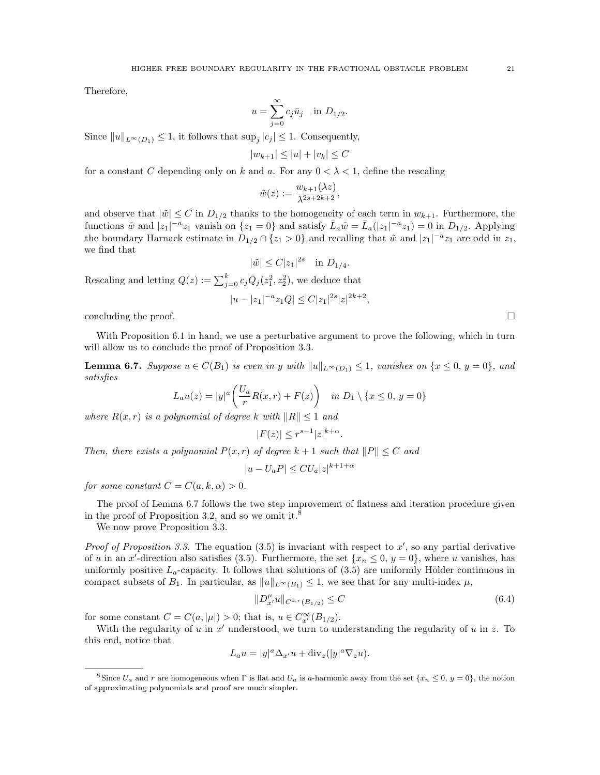Therefore,

$$
u = \sum_{j=0}^{\infty} c_j \bar{u}_j \quad \text{in } D_{1/2}.
$$

Since  $||u||_{L^{\infty}(D_1)} \leq 1$ , it follows that  $\sup_j |c_j| \leq 1$ . Consequently,

$$
|w_{k+1}| \le |u| + |v_k| \le C
$$

for a constant C depending only on k and a. For any  $0 < \lambda < 1$ , define the rescaling

$$
\tilde{w}(z) := \frac{w_{k+1}(\lambda z)}{\lambda^{2s+2k+2}},
$$

and observe that  $|\tilde{w}| \leq C$  in  $D_{1/2}$  thanks to the homogeneity of each term in  $w_{k+1}$ . Furthermore, the functions  $\tilde{w}$  and  $|z_1|^{-a}z_1$  vanish on  $\{z_1 = 0\}$  and satisfy  $\bar{L}_a \tilde{w} = \bar{L}_a(|z_1|^{-a}z_1) = 0$  in  $D_{1/2}$ . Applying the boundary Harnack estimate in  $D_{1/2} \cap \{z_1 > 0\}$  and recalling that  $\tilde{w}$  and  $|z_1|^{-a}z_1$  are odd in  $z_1$ , we find that

$$
|\tilde{w}| \le C |z_1|^{2s}
$$
 in  $D_{1/4}$ .

Rescaling and letting  $Q(z) := \sum_{j=0}^{k} c_j \overline{Q}_j(z_1^2, z_2^2)$ , we deduce that

$$
|u - |z_1|^{-a} z_1 Q| \le C |z_1|^{2s} |z|^{2k+2},
$$

concluding the proof.  $\Box$ 

With Proposition 6.1 in hand, we use a perturbative argument to prove the following, which in turn will allow us to conclude the proof of Proposition 3.3.

**Lemma 6.7.** Suppose  $u \in C(B_1)$  is even in y with  $||u||_{L^{\infty}(D_1)} \leq 1$ , vanishes on  $\{x \leq 0, y = 0\}$ , and satisfies

$$
L_a u(z) = |y|^a \left( \frac{U_a}{r} R(x, r) + F(z) \right) \quad \text{in } D_1 \setminus \{x \le 0, y = 0\}
$$

where  $R(x, r)$  is a polynomial of degree k with  $||R|| \leq 1$  and

$$
|F(z)| \le r^{s-1}|z|^{k+\alpha}.
$$

Then, there exists a polynomial  $P(x, r)$  of degree  $k + 1$  such that  $||P|| \leq C$  and

$$
|u - U_aP| \leq CU_a |z|^{k+1+\alpha}
$$

for some constant  $C = C(a, k, \alpha) > 0$ .

The proof of Lemma 6.7 follows the two step improvement of flatness and iteration procedure given in the proof of Proposition 3.2, and so we omit it.<sup>8</sup>

We now prove Proposition 3.3.

Proof of Proposition 3.3. The equation  $(3.5)$  is invariant with respect to x', so any partial derivative of u in an x'-direction also satisfies (3.5). Furthermore, the set  $\{x_n \leq 0, y = 0\}$ , where u vanishes, has uniformly positive  $L_a$ -capacity. It follows that solutions of  $(3.5)$  are uniformly Hölder continuous in compact subsets of  $B_1$ . In particular, as  $||u||_{L^{\infty}(B_1)} \leq 1$ , we see that for any multi-index  $\mu$ ,

$$
||D_{x'}^{\mu}u||_{C^{0,\tau}(B_{1/2})} \leq C \tag{6.4}
$$

for some constant  $C = C(a, |\mu|) > 0$ ; that is,  $u \in C_{x'}^{\infty}(B_{1/2})$ .

With the regularity of  $u$  in  $x'$  understood, we turn to understanding the regularity of  $u$  in  $z$ . To this end, notice that

$$
L_a u = |y|^a \Delta_{x'} u + \text{div}_z(|y|^a \nabla_z u).
$$

<sup>&</sup>lt;sup>8</sup> Since  $U_a$  and r are homogeneous when  $\Gamma$  is flat and  $U_a$  is a-harmonic away from the set  $\{x_n \leq 0, y = 0\}$ , the notion of approximating polynomials and proof are much simpler.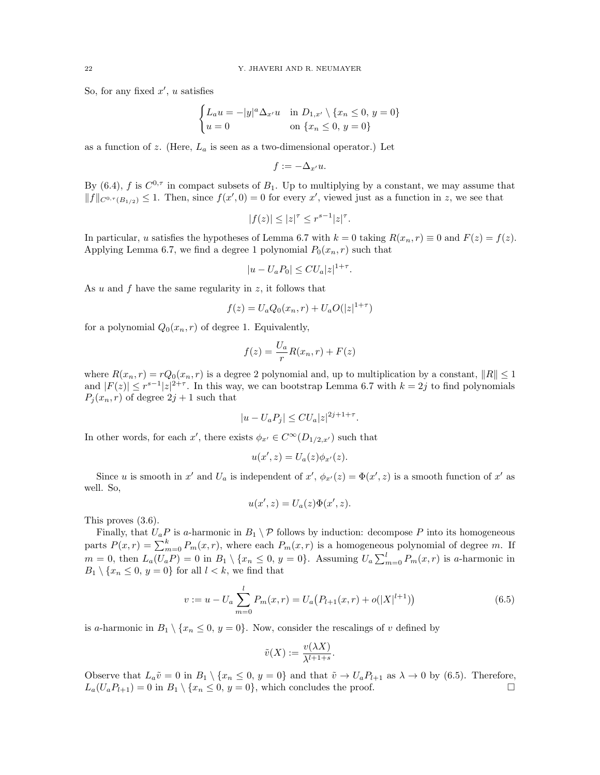So, for any fixed  $x'$ , u satisfies

$$
\begin{cases} L_a u = -|y|^a \Delta_{x'} u & \text{in } D_{1,x'} \setminus \{x_n \le 0, y = 0\} \\ u = 0 & \text{on } \{x_n \le 0, y = 0\} \end{cases}
$$

as a function of z. (Here,  $L_a$  is seen as a two-dimensional operator.) Let

$$
f:=-\Delta_{x'}u.
$$

By (6.4), f is  $C^{0,\tau}$  in compact subsets of  $B_1$ . Up to multiplying by a constant, we may assume that  $||f||_{C^{0,\tau}(B_{1/2})} \leq 1$ . Then, since  $f(x',0) = 0$  for every x', viewed just as a function in z, we see that

$$
|f(z)| \le |z|^\tau \le r^{s-1}|z|^\tau.
$$

In particular, u satisfies the hypotheses of Lemma 6.7 with  $k = 0$  taking  $R(x_n, r) \equiv 0$  and  $F(z) = f(z)$ . Applying Lemma 6.7, we find a degree 1 polynomial  $P_0(x_n, r)$  such that

$$
|u - U_a P_0| \leq C U_a |z|^{1+\tau}.
$$

As u and f have the same regularity in  $z$ , it follows that

$$
f(z) = U_a Q_0(x_n, r) + U_a O(|z|^{1+\tau})
$$

for a polynomial  $Q_0(x_n, r)$  of degree 1. Equivalently,

$$
f(z) = \frac{U_a}{r}R(x_n, r) + F(z)
$$

where  $R(x_n, r) = rQ_0(x_n, r)$  is a degree 2 polynomial and, up to multiplication by a constant,  $||R|| \leq 1$ and  $|F(z)| \leq r^{s-1} |z|^{2+\tau}$ . In this way, we can bootstrap Lemma 6.7 with  $k = 2j$  to find polynomials  $P_j(x_n, r)$  of degree  $2j + 1$  such that

$$
|u - U_a P_j| \leq C U_a |z|^{2j + 1 + \tau}.
$$

In other words, for each x', there exists  $\phi_{x'} \in C^{\infty}(D_{1/2,x'})$  such that

$$
u(x',z) = U_a(z)\phi_{x'}(z).
$$

Since u is smooth in x' and  $U_a$  is independent of  $x'$ ,  $\phi_{x'}(z) = \Phi(x', z)$  is a smooth function of x' as well. So,

$$
u(x',z) = U_a(z)\Phi(x',z).
$$

This proves (3.6).

Finally, that  $U_aP$  is a-harmonic in  $B_1 \setminus P$  follows by induction: decompose P into its homogeneous parts  $P(x,r) = \sum_{m=0}^{k} P_m(x,r)$ , where each  $P_m(x,r)$  is a homogeneous polynomial of degree m. If  $m = 0$ , then  $L_a(U_a P) = 0$  in  $B_1 \setminus \{x_n \leq 0, y = 0\}$ . Assuming  $U_a \sum_{m=0}^{l} P_m(x, r)$  is a-harmonic in  $B_1 \setminus \{x_n \leq 0, y = 0\}$  for all  $l < k$ , we find that

$$
v := u - U_a \sum_{m=0}^{l} P_m(x, r) = U_a (P_{l+1}(x, r) + o(|X|^{l+1}))
$$
\n(6.5)

is a-harmonic in  $B_1 \setminus \{x_n \leq 0, y = 0\}$ . Now, consider the rescalings of v defined by

$$
\tilde{v}(X) := \frac{v(\lambda X)}{\lambda^{l+1+s}}.
$$

Observe that  $L_a\tilde{v} = 0$  in  $B_1 \setminus \{x_n \leq 0, y = 0\}$  and that  $\tilde{v} \to U_a P_{l+1}$  as  $\lambda \to 0$  by (6.5). Therefore,  $L_a(U_aP_{l+1}) = 0$  in  $B_1 \setminus \{x_n \leq 0, y = 0\}$ , which concludes the proof.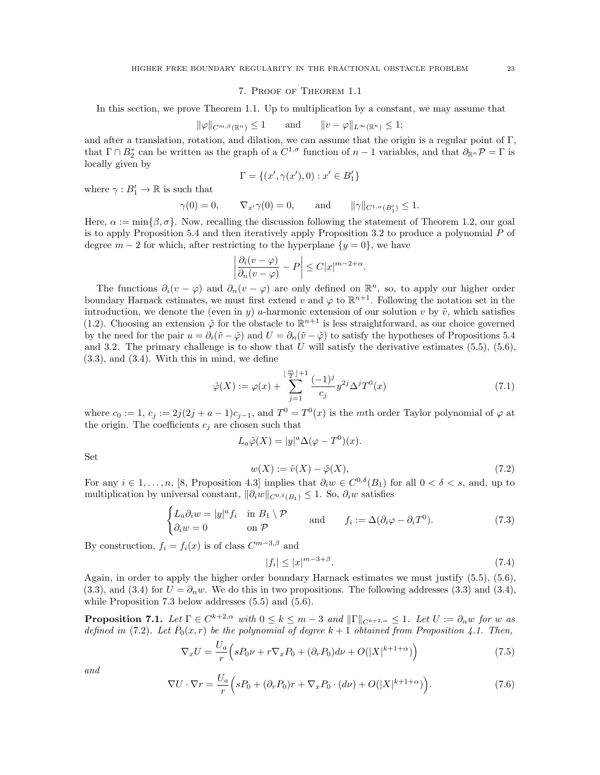#### 7. Proof of Theorem 1.1

In this section, we prove Theorem 1.1. Up to multiplication by a constant, we may assume that

$$
\|\varphi\|_{C^{m,\beta}(\mathbb{R}^n)} \le 1 \quad \text{and} \quad \|v - \varphi\|_{L^{\infty}(\mathbb{R}^n)} \le 1;
$$

and after a translation, rotation, and dilation, we can assume that the origin is a regular point of  $\Gamma$ , that  $\Gamma \cap B_2^*$  can be written as the graph of a  $C^{1,\sigma}$  function of  $n-1$  variables, and that  $\partial_{\mathbb{R}^n} \mathcal{P} = \Gamma$  is locally given by

$$
\Gamma=\{(x',\gamma(x'),0):x'\in B_1'\}
$$

where  $\gamma: B'_1 \to \mathbb{R}$  is such that

$$
\gamma(0) = 0,
$$
  $\nabla_{x'}\gamma(0) = 0,$  and  $\|\gamma\|_{C^{1,\alpha}(B'_1)} \le 1.$ 

Here,  $\alpha := \min\{\beta, \sigma\}$ . Now, recalling the discussion following the statement of Theorem 1.2, our goal is to apply Proposition 5.4 and then iteratively apply Proposition 3.2 to produce a polynomial  $P$  of degree  $m-2$  for which, after restricting to the hyperplane  $\{y=0\}$ , we have

$$
\left|\frac{\partial_i(v-\varphi)}{\partial_n(v-\varphi)}-P\right| \leq C|x|^{m-2+\alpha}.
$$

The functions  $\partial_i(v - \varphi)$  and  $\partial_n(v - \varphi)$  are only defined on  $\mathbb{R}^n$ , so, to apply our higher order boundary Harnack estimates, we must first extend v and  $\varphi$  to  $\mathbb{R}^{n+1}$ . Following the notation set in the introduction, we denote the (even in y) a-harmonic extension of our solution v by  $\tilde{v}$ , which satisfies (1.2). Choosing an extension  $\tilde{\varphi}$  for the obstacle to  $\mathbb{R}^{n+1}$  is less straightforward, as our choice governed by the need for the pair  $u = \partial_i(\tilde{v} - \tilde{\varphi})$  and  $U = \partial_n(\tilde{v} - \tilde{\varphi})$  to satisfy the hypotheses of Propositions 5.4 and 3.2. The primary challenge is to show that U will satisfy the derivative estimates  $(5.5)$ ,  $(5.6)$ ,  $(3.3)$ , and  $(3.4)$ . With this in mind, we define

$$
\tilde{\varphi}(X) := \varphi(x) + \sum_{j=1}^{\lfloor \frac{m}{2} \rfloor + 1} \frac{(-1)^j}{c_j} y^{2j} \Delta^j T^0(x) \tag{7.1}
$$

where  $c_0 := 1$ ,  $c_j := 2j(2j + a - 1)c_{j-1}$ , and  $T^0 = T^0(x)$  is the mth order Taylor polynomial of  $\varphi$  at the origin. The coefficients  $c_j$  are chosen such that

$$
L_a \tilde{\varphi}(X) = |y|^a \Delta(\varphi - T^0)(x).
$$

Set

$$
w(X) := \tilde{v}(X) - \tilde{\varphi}(X),\tag{7.2}
$$

For any  $i \in 1, \ldots, n$ , [8, Proposition 4.3] implies that  $\partial_i w \in C^{0,\delta}(B_1)$  for all  $0 < \delta < s$ , and, up to multiplication by universal constant,  $\|\partial_i w\|_{C^{0,\delta}(B_1)} \leq 1$ . So,  $\partial_i w$  satisfies

$$
\begin{cases} L_a \partial_i w = |y|^a f_i & \text{in } B_1 \setminus \mathcal{P} \\ \partial_i w = 0 & \text{on } \mathcal{P} \end{cases} \quad \text{and} \quad f_i := \Delta(\partial_i \varphi - \partial_i T^0). \tag{7.3}
$$

By construction,  $f_i = f_i(x)$  is of class  $C^{m-3,\beta}$  and

$$
|f_i| \le |x|^{m-3+\beta}.\tag{7.4}
$$

Again, in order to apply the higher order boundary Harnack estimates we must justify (5.5), (5.6), (3.3), and (3.4) for  $U = \partial_n w$ . We do this in two propositions. The following addresses (3.3) and (3.4), while Proposition 7.3 below addresses (5.5) and (5.6).

**Proposition 7.1.** Let  $\Gamma \in C^{k+2,\alpha}$  with  $0 \le k \le m-3$  and  $\|\Gamma\|_{C^{k+2,\alpha}} \le 1$ . Let  $U := \partial_n w$  for w as defined in (7.2). Let  $P_0(x, r)$  be the polynomial of degree  $k + 1$  obtained from Proposition 4.1. Then,

$$
\nabla_x U = \frac{U_a}{r} \left( sP_0 \nu + r \nabla_x P_0 + (\partial_r P_0) d\nu + O(|X|^{k+1+\alpha}) \right) \tag{7.5}
$$

and

$$
\nabla U \cdot \nabla r = \frac{U_a}{r} \Big( sP_0 + (\partial_r P_0)r + \nabla_x P_0 \cdot (d\nu) + O(|X|^{k+1+\alpha}) \Big). \tag{7.6}
$$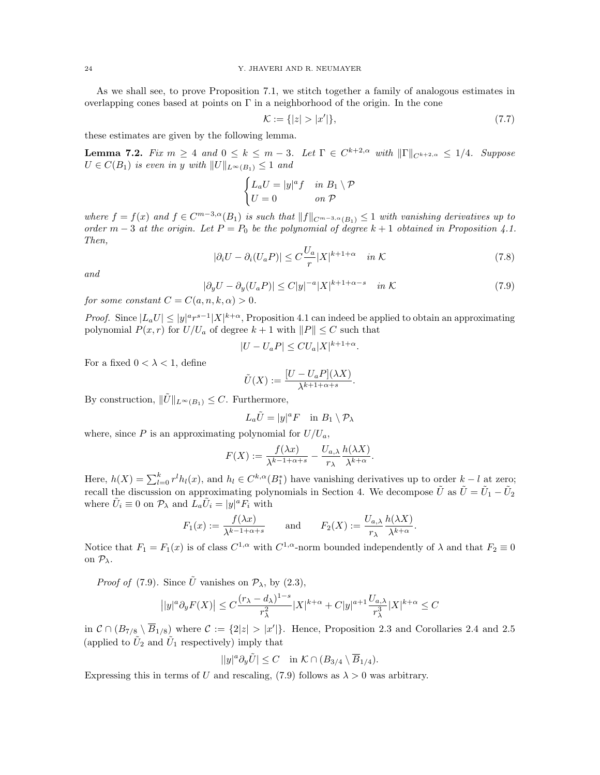As we shall see, to prove Proposition 7.1, we stitch together a family of analogous estimates in overlapping cones based at points on  $\Gamma$  in a neighborhood of the origin. In the cone

$$
\mathcal{K} := \{ |z| > |x'| \},\tag{7.7}
$$

these estimates are given by the following lemma.

**Lemma 7.2.** Fix  $m \geq 4$  and  $0 \leq k \leq m-3$ . Let  $\Gamma \in C^{k+2,\alpha}$  with  $\|\Gamma\|_{C^{k+2,\alpha}} \leq 1/4$ . Suppose  $U \in C(B_1)$  is even in y with  $||U||_{L^{\infty}(B_1)} \leq 1$  and

$$
\begin{cases} L_a U = |y|^a f & \text{in } B_1 \setminus \mathcal{P} \\ U = 0 & \text{on } \mathcal{P} \end{cases}
$$

where  $f = f(x)$  and  $f \in C^{m-3,\alpha}(B_1)$  is such that  $||f||_{C^{m-3,\alpha}(B_1)} \leq 1$  with vanishing derivatives up to order  $m-3$  at the origin. Let  $P = P_0$  be the polynomial of degree  $k+1$  obtained in Proposition 4.1. Then,

$$
|\partial_i U - \partial_i (U_a P)| \le C \frac{U_a}{r} |X|^{k+1+\alpha} \quad \text{in } \mathcal{K}
$$
\n
$$
(7.8)
$$

and

$$
|\partial_y U - \partial_y (U_a P)| \le C|y|^{-a}|X|^{k+1+\alpha-s} \quad \text{in } \mathcal{K}
$$
\n<sup>(7.9)</sup>

.

for some constant  $C = C(a, n, k, \alpha) > 0$ .

*Proof.* Since  $|L_a U| \le |y|^a r^{s-1} |X|^{k+\alpha}$ , Proposition 4.1 can indeed be applied to obtain an approximating polynomial  $P(x, r)$  for  $U/U_a$  of degree  $k + 1$  with  $||P|| \leq C$  such that

$$
|U - U_aP| \leq CU_a |X|^{k+1+\alpha}
$$

For a fixed  $0 < \lambda < 1$ , define

$$
\tilde{U}(X) := \frac{[U - U_a P](\lambda X)}{\lambda^{k+1+\alpha+s}}.
$$

By construction,  $\|\tilde{U}\|_{L^{\infty}(B_1)} \leq C$ . Furthermore,

$$
L_a\tilde{U}=|y|^aF\quad\text{in}\,\,B_1\setminus\mathcal{P}_\lambda
$$

where, since P is an approximating polynomial for  $U/U_a$ ,

$$
F(X) := \frac{f(\lambda x)}{\lambda^{k-1+\alpha+s}} - \frac{U_{a,\lambda}}{r_{\lambda}} \frac{h(\lambda X)}{\lambda^{k+\alpha}}.
$$

Here,  $h(X) = \sum_{l=0}^{k} r^{l} h_{l}(x)$ , and  $h_{l} \in C^{k,\alpha}(B_1^*)$  have vanishing derivatives up to order  $k-l$  at zero; recall the discussion on approximating polynomials in Section 4. We decompose  $\tilde{U}$  as  $\tilde{U} = \tilde{U}_1 - \tilde{U}_2$ where  $\tilde{U}_i \equiv 0$  on  $\mathcal{P}_\lambda$  and  $\tilde{L}_a \tilde{U}_i = |y|^a F_i$  with

$$
F_1(x) := \frac{f(\lambda x)}{\lambda^{k-1+\alpha+s}} \quad \text{and} \quad F_2(X) := \frac{U_{a,\lambda}}{r_{\lambda}} \frac{h(\lambda X)}{\lambda^{k+\alpha}}.
$$

Notice that  $F_1 = F_1(x)$  is of class  $C^{1,\alpha}$  with  $C^{1,\alpha}$ -norm bounded independently of  $\lambda$  and that  $F_2 \equiv 0$ on  $\mathcal{P}_{\lambda}$ .

*Proof of* (7.9). Since  $\tilde{U}$  vanishes on  $\mathcal{P}_{\lambda}$ , by (2.3),

$$
\big||y|^a\partial_yF(X)\big|\leq C\frac{(r_\lambda-d_\lambda)^{1-s}}{r_\lambda^2}|X|^{k+\alpha}+C|y|^{a+1}\frac{U_{a,\lambda}}{r_\lambda^3}|X|^{k+\alpha}\leq C
$$

in  $\mathcal{C} \cap (B_{7/8} \setminus \overline{B}_{1/8})$  where  $\mathcal{C} := \{2|z| > |x'|\}.$  Hence, Proposition 2.3 and Corollaries 2.4 and 2.5 (applied to  $\tilde{U}_2$  and  $\tilde{U}_1$  respectively) imply that

$$
||y|^a \partial_y \tilde{U} \leq C \quad \text{in } \mathcal{K} \cap (B_{3/4} \setminus \overline{B}_{1/4}).
$$

Expressing this in terms of U and rescaling, (7.9) follows as  $\lambda > 0$  was arbitrary.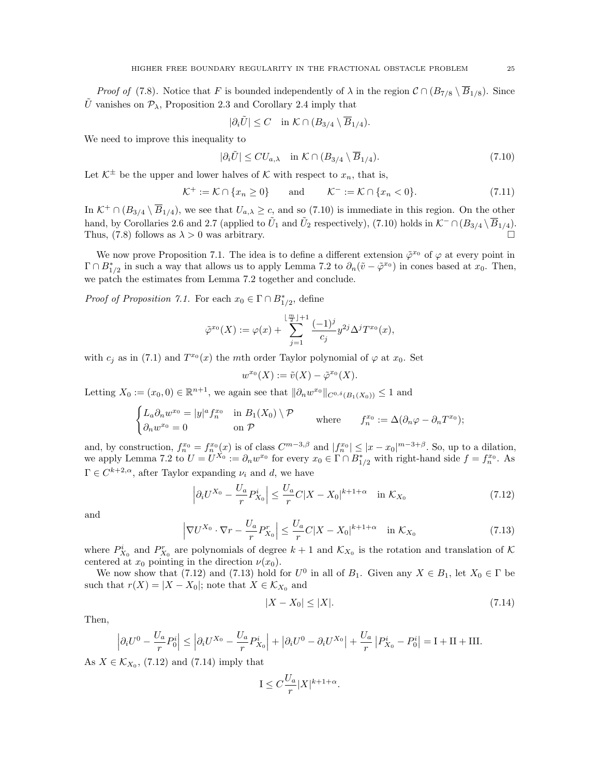*Proof of* (7.8). Notice that F is bounded independently of  $\lambda$  in the region  $\mathcal{C} \cap (B_{7/8} \setminus \overline{B}_{1/8})$ . Since  $\tilde{U}$  vanishes on  $\mathcal{P}_{\lambda}$ , Proposition 2.3 and Corollary 2.4 imply that

$$
|\partial_i \tilde{U}| \le C \quad \text{in } \mathcal{K} \cap (B_{3/4} \setminus \overline{B}_{1/4}).
$$

We need to improve this inequality to

$$
|\partial_i \tilde{U}| \leq C U_{a,\lambda} \quad \text{in } \mathcal{K} \cap (B_{3/4} \setminus \overline{B}_{1/4}). \tag{7.10}
$$

Let  $K^{\pm}$  be the upper and lower halves of K with respect to  $x_n$ , that is,

$$
\mathcal{K}^+ := \mathcal{K} \cap \{x_n \ge 0\} \qquad \text{and} \qquad \mathcal{K}^- := \mathcal{K} \cap \{x_n < 0\}. \tag{7.11}
$$

In  $K^+ \cap (B_{3/4} \setminus \overline{B}_{1/4})$ , we see that  $U_{a,\lambda} \geq c$ , and so (7.10) is immediate in this region. On the other hand, by Corollaries 2.6 and 2.7 (applied to  $\tilde{U}_1$  and  $\tilde{U}_2$  respectively), (7.10) holds in  $\mathcal{K}^- \cap (B_{3/4} \setminus \overline{B}_{1/4})$ . Thus, (7.8) follows as  $\lambda > 0$  was arbitrary.

We now prove Proposition 7.1. The idea is to define a different extension  $\tilde{\varphi}^{x_0}$  of  $\varphi$  at every point in  $\Gamma \cap B^*_{1/2}$  in such a way that allows us to apply Lemma 7.2 to  $\partial_n(\tilde{v} - \tilde{\varphi}^{x_0})$  in cones based at  $x_0$ . Then, we patch the estimates from Lemma 7.2 together and conclude.

*Proof of Proposition 7.1.* For each  $x_0 \in \Gamma \cap B^*_{1/2}$ , define

$$
\tilde{\varphi}^{x_0}(X) := \varphi(x) + \sum_{j=1}^{\lfloor \frac{m}{2} \rfloor + 1} \frac{(-1)^j}{c_j} y^{2j} \Delta^j T^{x_0}(x),
$$

with  $c_j$  as in (7.1) and  $T^{x_0}(x)$  the mth order Taylor polynomial of  $\varphi$  at  $x_0$ . Set

$$
w^{x_0}(X) := \tilde{v}(X) - \tilde{\varphi}^{x_0}(X).
$$

Letting  $X_0 := (x_0, 0) \in \mathbb{R}^{n+1}$ , we again see that  $\|\partial_n w^{x_0}\|_{C^{0,\delta}(B_1(X_0))} \leq 1$  and

$$
\begin{cases} L_a \partial_n w^{x_0} = |y|^a f_n^{x_0} & \text{in } B_1(X_0) \setminus \mathcal{P} \\ \partial_n w^{x_0} = 0 & \text{on } \mathcal{P} \end{cases} \quad \text{where} \quad f_n^{x_0} := \Delta(\partial_n \varphi - \partial_n T^{x_0});
$$

and, by construction,  $f_n^{x_0} = f_n^{x_0}(x)$  is of class  $C^{m-3,\beta}$  and  $|f_n^{x_0}| \leq |x-x_0|^{m-3+\beta}$ . So, up to a dilation, we apply Lemma 7.2 to  $U = U^{X_0} := \partial_n w^{x_0}$  for every  $x_0 \in \Gamma \cap B_{1/2}^*$  with right-hand side  $f = f_n^{x_0}$ . As  $\Gamma \in C^{k+2,\alpha}$ , after Taylor expanding  $\nu_i$  and d, we have

$$
\left| \partial_i U^{X_0} - \frac{U_a}{r} P_{X_0}^i \right| \le \frac{U_a}{r} C |X - X_0|^{k+1+\alpha} \quad \text{in } \mathcal{K}_{X_0} \tag{7.12}
$$

and

$$
\left|\nabla U^{X_0} \cdot \nabla r - \frac{U_a}{r} P_{X_0}^r\right| \le \frac{U_a}{r} C|X - X_0|^{k+1+\alpha} \quad \text{in } \mathcal{K}_{X_0} \tag{7.13}
$$

where  $P_{X_0}^i$  and  $P_{X_0}^r$  are polynomials of degree  $k+1$  and  $\mathcal{K}_{X_0}$  is the rotation and translation of  $\mathcal K$ centered at  $x_0$  pointing in the direction  $\nu(x_0)$ .

We now show that (7.12) and (7.13) hold for  $U^0$  in all of  $B_1$ . Given any  $X \in B_1$ , let  $X_0 \in \Gamma$  be such that  $r(X) = |X - X_0|$ ; note that  $X \in \mathcal{K}_{X_0}$  and

$$
|X - X_0| \le |X|.\tag{7.14}
$$

Then,

$$
\left|\partial_i U^0 - \frac{U_a}{r} P_0^i \right| \le \left|\partial_i U^{X_0} - \frac{U_a}{r} P_{X_0}^i \right| + \left|\partial_i U^0 - \partial_i U^{X_0} \right| + \frac{U_a}{r} \left|P_{X_0}^i - P_0^i \right| = \mathbf{I} + \mathbf{II} + \mathbf{III}.
$$

As  $X \in \mathcal{K}_{X_0}$ , (7.12) and (7.14) imply that

$$
I \le C \frac{U_a}{r} |X|^{k+1+\alpha}.
$$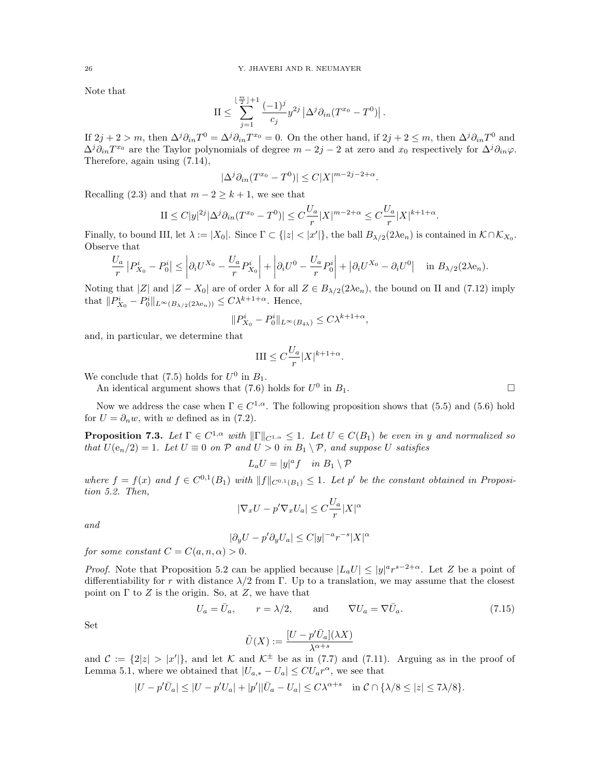Note that

$$
\mathcal{II} \leq \sum_{j=1}^{\lfloor \frac{m}{2} \rfloor + 1} \frac{(-1)^j}{c_j} y^{2j} \left| \Delta^j \partial_{in} (T^{x_0} - T^0) \right|.
$$

If  $2j + 2 > m$ , then  $\Delta^j \partial_{in} T^0 = \Delta^j \partial_{in} T^{x_0} = 0$ . On the other hand, if  $2j + 2 \le m$ , then  $\Delta^j \partial_{in} T^0$  and  $\Delta^j \partial_{in} T^{x_0}$  are the Taylor polynomials of degree  $m - 2j - 2$  at zero and  $x_0$  respectively for  $\Delta^j \partial_{in} \varphi$ . Therefore, again using (7.14),

$$
|\Delta^j \partial_{in} (T^{x_0}-T^0)|\leq C |X|^{m-2j-2+\alpha}.
$$

Recalling (2.3) and that  $m-2 \geq k+1$ , we see that

$$
II \leq C|y|^{2j} |\Delta^j \partial_{in} (T^{x_0} - T^0)| \leq C \frac{U_a}{r} |X|^{m-2+\alpha} \leq C \frac{U_a}{r} |X|^{k+1+\alpha}.
$$

Finally, to bound III, let  $\lambda := |X_0|$ . Since  $\Gamma \subset \{|z| < |x'|\}$ , the ball  $B_{\lambda/2}(2\lambda e_n)$  is contained in  $\mathcal{K} \cap \mathcal{K}_{X_0}$ . Observe that

$$
\frac{U_a}{r} |P_{X_0}^i - P_0^i| \le \left| \partial_i U^{X_0} - \frac{U_a}{r} P_{X_0}^i \right| + \left| \partial_i U^0 - \frac{U_a}{r} P_0^i \right| + \left| \partial_i U^{X_0} - \partial_i U^0 \right| \quad \text{in } B_{\lambda/2}(2\lambda e_n).
$$

Noting that  $|Z|$  and  $|Z - X_0|$  are of order  $\lambda$  for all  $Z \in B_{\lambda/2}(2\lambda e_n)$ , the bound on II and (7.12) imply that  $||P_{X_0}^i - P_0^i||_{L^{\infty}(B_{\lambda/2}(2\lambda e_n))} \leq C\lambda^{k+1+\alpha}$ . Hence,

$$
||P^i_{X_0}-P^i_0||_{L^{\infty}(B_{4\lambda})}\leq C\lambda^{k+1+\alpha},
$$

and, in particular, we determine that

$$
\text{III} \le C \frac{U_a}{r} |X|^{k+1+\alpha}.
$$

We conclude that (7.5) holds for  $U^0$  in  $B_1$ .

An identical argument shows that (7.6) holds for  $U^0$  in  $B_1$ .

Now we address the case when  $\Gamma \in C^{1,\alpha}$ . The following proposition shows that (5.5) and (5.6) hold for  $U = \partial_n w$ , with w defined as in (7.2).

**Proposition 7.3.** Let  $\Gamma \in C^{1,\alpha}$  with  $\|\Gamma\|_{C^{1,\alpha}} \leq 1$ . Let  $U \in C(B_1)$  be even in y and normalized so that  $U(e_n/2) = 1$ . Let  $U \equiv 0$  on  $P$  and  $U > 0$  in  $B_1 \setminus P$ , and suppose U satisfies

$$
L_a U = |y|^a f \quad \text{in } B_1 \setminus \mathcal{P}
$$

where  $f = f(x)$  and  $f \in C^{0,1}(B_1)$  with  $||f||_{C^{0,1}(B_1)} \leq 1$ . Let p' be the constant obtained in Proposition 5.2. Then,

$$
|\nabla_x U - p'\nabla_x U_a| \le C\frac{U_a}{r}|X|^\alpha
$$

and

$$
|\partial_y U - p' \partial_y U_a| \le C |y|^{-a} r^{-s} |X|^\alpha
$$

for some constant  $C = C(a, n, \alpha) > 0$ .

*Proof.* Note that Proposition 5.2 can be applied because  $|L_a U| \le |y|^{a} r^{s-2+\alpha}$ . Let Z be a point of differentiability for r with distance  $\lambda/2$  from Γ. Up to a translation, we may assume that the closest point on  $\Gamma$  to  $Z$  is the origin. So, at  $Z$ , we have that

$$
U_a = \bar{U}_a, \qquad r = \lambda/2, \qquad \text{and} \qquad \nabla U_a = \nabla \bar{U}_a. \tag{7.15}
$$

Set

$$
\tilde{U}(X):=\frac{[U-p'\bar{U}_a](\lambda X)}{\lambda^{\alpha+s}}
$$

and  $\mathcal{C} := \{2|z| > |x'| \}$ , and let K and  $\mathcal{K}^{\pm}$  be as in (7.7) and (7.11). Arguing as in the proof of Lemma 5.1, where we obtained that  $|U_{a,*} - U_a| \leq C U_a r^{\alpha}$ , we see that

$$
|U - p'\overline{U}_a| \le |U - p'U_a| + |p'||\overline{U}_a - U_a| \le C\lambda^{\alpha+s} \quad \text{in } \mathcal{C} \cap {\lambda/8 \le |z| \le 7\lambda/8}.
$$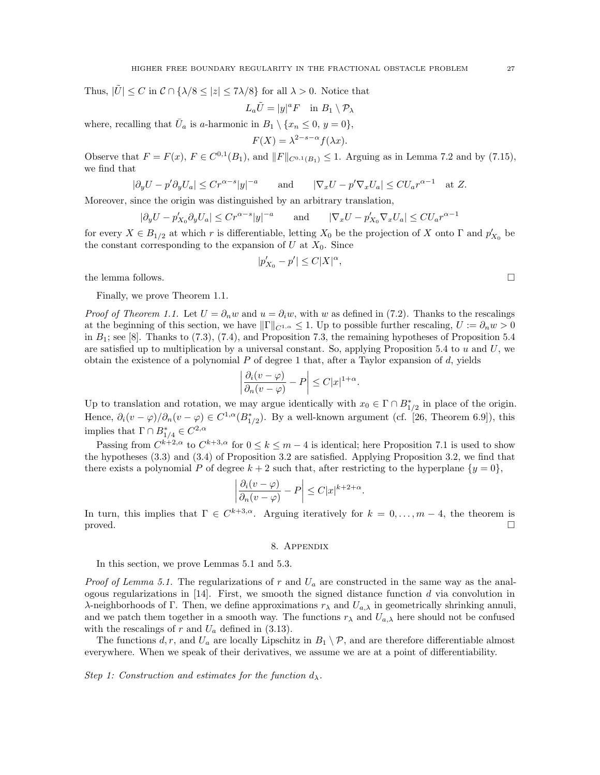Thus,  $|\tilde{U}| \leq C$  in  $C \cap {\{\lambda/8 \leq |z| \leq 7\lambda/8\}}$  for all  $\lambda > 0$ . Notice that

$$
L_a\tilde{U}=|y|^aF\quad\text{in}\,\,B_1\setminus\mathcal{P}_\lambda
$$

where, recalling that  $\bar{U}_a$  is a-harmonic in  $B_1 \setminus \{x_n \leq 0, y = 0\},$  $2-s-\alpha$ 

$$
F(X) = \lambda^{2-s-\alpha} f(\lambda x).
$$

Observe that  $F = F(x)$ ,  $F \in C^{0,1}(B_1)$ , and  $||F||_{C^{0,1}(B_1)} \leq 1$ . Arguing as in Lemma 7.2 and by (7.15), we find that

$$
|\partial_y U - p' \partial_y U_a| \le Cr^{\alpha - s} |y|^{-a} \quad \text{and} \quad |\nabla_x U - p' \nabla_x U_a| \le C U_a r^{\alpha - 1} \quad \text{at } Z.
$$

Moreover, since the origin was distinguished by an arbitrary translation,

$$
|\partial_y U - p'_{X_0} \partial_y U_a| \leq C r^{\alpha - s} |y|^{-a}
$$
 and  $|\nabla_x U - p'_{X_0} \nabla_x U_a| \leq C U_a r^{\alpha - 1}$ 

for every  $X \in B_{1/2}$  at which r is differentiable, letting  $X_0$  be the projection of X onto  $\Gamma$  and  $p'_{X_0}$  be the constant corresponding to the expansion of  $U$  at  $X_0$ . Since

$$
|p'_{X_0}-p'|\leq C|X|^{\alpha},
$$

the lemma follows.  $\Box$ 

Finally, we prove Theorem 1.1.

*Proof of Theorem 1.1.* Let  $U = \partial_n w$  and  $u = \partial_i w$ , with w as defined in (7.2). Thanks to the rescalings at the beginning of this section, we have  $\|\Gamma\|_{C^{1,\alpha}} \leq 1$ . Up to possible further rescaling,  $U := \partial_n w > 0$ in  $B_1$ ; see [8]. Thanks to (7.3), (7.4), and Proposition 7.3, the remaining hypotheses of Proposition 5.4 are satisfied up to multiplication by a universal constant. So, applying Proposition 5.4 to  $u$  and  $U$ , we obtain the existence of a polynomial  $P$  of degree 1 that, after a Taylor expansion of  $d$ , yields

$$
\left|\frac{\partial_i(v-\varphi)}{\partial_n(v-\varphi)}-P\right|\leq C|x|^{1+\alpha}.
$$

Up to translation and rotation, we may argue identically with  $x_0 \in \Gamma \cap B^*_{1/2}$  in place of the origin. Hence,  $\partial_i(v-\varphi)/\partial_n(v-\varphi) \in C^{1,\alpha}(B^*_{1/2})$ . By a well-known argument (cf. [26, Theorem 6.9]), this implies that  $\Gamma \cap B^*_{1/4} \in C^{2,\alpha}$ 

Passing from  $C^{k+2,\alpha}$  to  $C^{k+3,\alpha}$  for  $0 \le k \le m-4$  is identical; here Proposition 7.1 is used to show the hypotheses (3.3) and (3.4) of Proposition 3.2 are satisfied. Applying Proposition 3.2, we find that there exists a polynomial P of degree  $k + 2$  such that, after restricting to the hyperplane  $\{y = 0\}$ ,

$$
\left|\frac{\partial_i(v-\varphi)}{\partial_n(v-\varphi)}-P\right| \leq C|x|^{k+2+\alpha}.
$$

In turn, this implies that  $\Gamma \in C^{k+3,\alpha}$ . Arguing iteratively for  $k = 0, \ldots, m-4$ , the theorem is proved.

### 8. Appendix

In this section, we prove Lemmas 5.1 and 5.3.

*Proof of Lemma 5.1.* The regularizations of r and  $U_a$  are constructed in the same way as the analogous regularizations in  $[14]$ . First, we smooth the signed distance function d via convolution in λ-neighborhoods of Γ. Then, we define approximations  $r<sub>λ</sub>$  and  $U<sub>a,λ</sub>$  in geometrically shrinking annuli, and we patch them together in a smooth way. The functions  $r_{\lambda}$  and  $U_{a,\lambda}$  here should not be confused with the rescalings of  $r$  and  $U_a$  defined in (3.13).

The functions d, r, and  $U_a$  are locally Lipschitz in  $B_1 \setminus \mathcal{P}$ , and are therefore differentiable almost everywhere. When we speak of their derivatives, we assume we are at a point of differentiability.

Step 1: Construction and estimates for the function  $d_{\lambda}$ .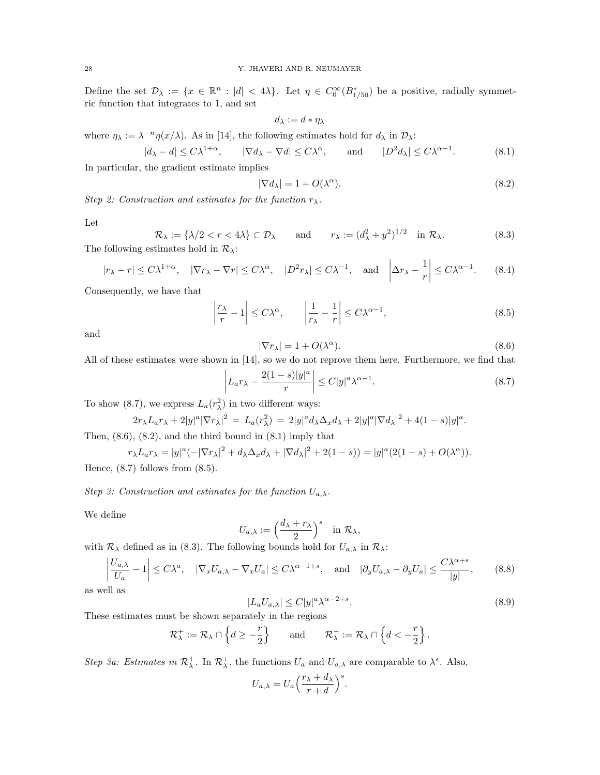Define the set  $\mathcal{D}_\lambda := \{x \in \mathbb{R}^n : |d| < 4\lambda\}$ . Let  $\eta \in C_0^\infty(B_{1/50}^*)$  be a positive, radially symmetric function that integrates to 1, and set

$$
d_\lambda:=d*\eta_\lambda
$$

where  $\eta_{\lambda} := \lambda^{-n} \eta(x/\lambda)$ . As in [14], the following estimates hold for  $d_{\lambda}$  in  $\mathcal{D}_{\lambda}$ :

$$
|d_{\lambda} - d| \le C\lambda^{1+\alpha}, \qquad |\nabla d_{\lambda} - \nabla d| \le C\lambda^{\alpha}, \qquad \text{and} \qquad |D^2 d_{\lambda}| \le C\lambda^{\alpha-1}.
$$
 (8.1)

In particular, the gradient estimate implies

$$
|\nabla d_{\lambda}| = 1 + O(\lambda^{\alpha}).\tag{8.2}
$$

Step 2: Construction and estimates for the function  $r_{\lambda}$ .

Let

 $\mathcal{R}_{\lambda} := {\lambda/2 < r < 4\lambda} \subset \mathcal{D}_{\lambda}$  and  $r_{\lambda} := (d_{\lambda}^2 + y^2)^{1/2}$  in  $\mathcal{R}_{\lambda}$ . (8.3) The following estimates hold in  $\mathcal{R}_{\lambda}$ :

$$
|r_{\lambda} - r| \le C\lambda^{1+\alpha}, \quad |\nabla r_{\lambda} - \nabla r| \le C\lambda^{\alpha}, \quad |D^2 r_{\lambda}| \le C\lambda^{-1}, \quad \text{and} \quad \left|\Delta r_{\lambda} - \frac{1}{r}\right| \le C\lambda^{\alpha-1}.\tag{8.4}
$$

Consequently, we have that

$$
\left|\frac{r_{\lambda}}{r} - 1\right| \le C\lambda^{\alpha}, \qquad \left|\frac{1}{r_{\lambda}} - \frac{1}{r}\right| \le C\lambda^{\alpha - 1},\tag{8.5}
$$

and

$$
|\nabla r_{\lambda}| = 1 + O(\lambda^{\alpha}).\tag{8.6}
$$

All of these estimates were shown in [14], so we do not reprove them here. Furthermore, we find that

$$
\left| L_a r_\lambda - \frac{2(1-s)|y|^a}{r} \right| \le C|y|^a \lambda^{\alpha - 1}.
$$
\n(8.7)

To show (8.7), we express  $L_a(r_\lambda^2)$  in two different ways:

$$
2r_{\lambda}L_{a}r_{\lambda} + 2|y|^a|\nabla r_{\lambda}|^2 = L_{a}(r_{\lambda}^2) = 2|y|^a d_{\lambda} \Delta_x d_{\lambda} + 2|y|^a |\nabla d_{\lambda}|^2 + 4(1-s)|y|^a.
$$

Then,  $(8.6)$ ,  $(8.2)$ , and the third bound in  $(8.1)$  imply that

$$
r_{\lambda}L_a r_{\lambda} = |y|^a (-|\nabla r_{\lambda}|^2 + d_{\lambda} \Delta_x d_{\lambda} + |\nabla d_{\lambda}|^2 + 2(1-s)) = |y|^a (2(1-s) + O(\lambda^{\alpha})).
$$

Hence,  $(8.7)$  follows from  $(8.5)$ .

Step 3: Construction and estimates for the function  $U_{a,\lambda}$ .

We define

$$
U_{a,\lambda} := \left(\frac{d_{\lambda} + r_{\lambda}}{2}\right)^s \quad \text{in } \mathcal{R}_{\lambda},
$$

with  $\mathcal{R}_{\lambda}$  defined as in (8.3). The following bounds hold for  $U_{a,\lambda}$  in  $\mathcal{R}_{\lambda}$ :

$$
\left|\frac{U_{a,\lambda}}{U_a} - 1\right| \le C\lambda^a, \quad |\nabla_x U_{a,\lambda} - \nabla_x U_a| \le C\lambda^{\alpha - 1 + s}, \quad \text{and} \quad |\partial_y U_{a,\lambda} - \partial_y U_a| \le \frac{C\lambda^{\alpha + s}}{|y|},\tag{8.8}
$$

as well as

$$
|L_a U_{a,\lambda}| \le C|y|^a \lambda^{\alpha - 2 + s}.
$$
\n(8.9)

These estimates must be shown separately in the regions

$$
\mathcal{R}^+_\lambda:=\mathcal{R}_\lambda\cap\left\{d\geq -\frac{r}{2}\right\}\qquad\text{and}\qquad \mathcal{R}^-_\lambda:=\mathcal{R}_\lambda\cap\left\{d<-\frac{r}{2}\right\}.
$$

Step 3a: Estimates in  $\mathcal{R}^+_{\lambda}$ . In  $\mathcal{R}^+_{\lambda}$ , the functions  $U_a$  and  $U_{a,\lambda}$  are comparable to  $\lambda^s$ . Also,

$$
U_{a,\lambda} = U_a \left(\frac{r_\lambda + d_\lambda}{r + d}\right)^s.
$$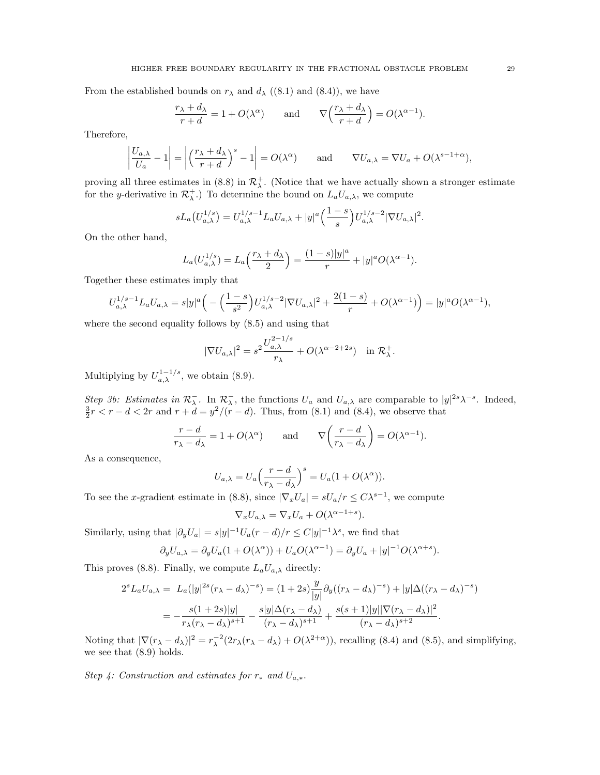From the established bounds on  $r_{\lambda}$  and  $d_{\lambda}$  ((8.1) and (8.4)), we have

$$
\frac{r_{\lambda} + d_{\lambda}}{r + d} = 1 + O(\lambda^{\alpha}) \quad \text{and} \quad \nabla \left( \frac{r_{\lambda} + d_{\lambda}}{r + d} \right) = O(\lambda^{\alpha - 1}).
$$

Therefore,

$$
\left|\frac{U_{a,\lambda}}{U_a} - 1\right| = \left|\left(\frac{r_\lambda + d_\lambda}{r + d}\right)^s - 1\right| = O(\lambda^\alpha) \quad \text{and} \quad \nabla U_{a,\lambda} = \nabla U_a + O(\lambda^{s-1+\alpha}),
$$

proving all three estimates in (8.8) in  $\mathcal{R}^+_\lambda$ . (Notice that we have actually shown a stronger estimate for the y-derivative in  $\mathcal{R}_{\lambda}^{+}$ .) To determine the bound on  $L_a U_{a,\lambda}$ , we compute

$$
sL_a(U_{a,\lambda}^{1/s}) = U_{a,\lambda}^{1/s-1}L_aU_{a,\lambda} + |y|^a \left(\frac{1-s}{s}\right)U_{a,\lambda}^{1/s-2}|\nabla U_{a,\lambda}|^2.
$$

On the other hand,

$$
L_a(U_{a,\lambda}^{1/s}) = L_a\left(\frac{r_{\lambda} + d_{\lambda}}{2}\right) = \frac{(1-s)|y|^a}{r} + |y|^a O(\lambda^{\alpha - 1}).
$$

Together these estimates imply that

$$
U_{a,\lambda}^{1/s-1}L_a U_{a,\lambda} = s|y|^a \left( -\left(\frac{1-s}{s^2}\right) U_{a,\lambda}^{1/s-2} |\nabla U_{a,\lambda}|^2 + \frac{2(1-s)}{r} + O(\lambda^{\alpha-1}) \right) = |y|^a O(\lambda^{\alpha-1}),
$$

where the second equality follows by (8.5) and using that

$$
|\nabla U_{a,\lambda}|^2 = s^2 \frac{U_{a,\lambda}^{2-1/s}}{r_{\lambda}} + O(\lambda^{\alpha-2+2s}) \quad \text{in } \mathcal{R}_{\lambda}^+.
$$

Multiplying by  $U_{a,\lambda}^{1-1/s}$ , we obtain (8.9).

Step 3b: Estimates in  $\mathcal{R}_{\lambda}^-$ . In  $\mathcal{R}_{\lambda}^-$ , the functions  $U_a$  and  $U_{a,\lambda}$  are comparable to  $|y|^{2s}\lambda^{-s}$ . Indeed,  $\frac{3}{2}r < r - d < 2r$  and  $r + d = y^2/(r - d)$ . Thus, from (8.1) and (8.4), we observe that

$$
\frac{r-d}{r_{\lambda}-d_{\lambda}}=1+O(\lambda^{\alpha}) \quad \text{and} \quad \nabla\left(\frac{r-d}{r_{\lambda}-d_{\lambda}}\right)=O(\lambda^{\alpha-1}).
$$

As a consequence,

$$
U_{a,\lambda} = U_a \left(\frac{r-d}{r_{\lambda} - d_{\lambda}}\right)^s = U_a (1 + O(\lambda^{\alpha})).
$$

To see the x-gradient estimate in (8.8), since  $|\nabla_x U_a| = sU_a/r \le C\lambda^{s-1}$ , we compute

$$
\nabla_x U_{a,\lambda} = \nabla_x U_a + O(\lambda^{\alpha - 1 + s}).
$$

Similarly, using that  $|\partial_y U_a| = s |y|^{-1} U_a(r - d)/r \le C |y|^{-1} \lambda^s$ , we find that

$$
\partial_y U_{a,\lambda} = \partial_y U_a (1 + O(\lambda^{\alpha})) + U_a O(\lambda^{\alpha - 1}) = \partial_y U_a + |y|^{-1} O(\lambda^{\alpha + s}).
$$

This proves (8.8). Finally, we compute  $L_aU_{a,\lambda}$  directly:

$$
2^{s} L_{a} U_{a,\lambda} = L_{a}(|y|^{2s} (r_{\lambda} - d_{\lambda})^{-s}) = (1 + 2s) \frac{y}{|y|} \partial_{y} ((r_{\lambda} - d_{\lambda})^{-s}) + |y| \Delta((r_{\lambda} - d_{\lambda})^{-s})
$$
  
= 
$$
-\frac{s(1 + 2s)|y|}{r_{\lambda}(r_{\lambda} - d_{\lambda})^{s+1}} - \frac{s|y| \Delta(r_{\lambda} - d_{\lambda})}{(r_{\lambda} - d_{\lambda})^{s+1}} + \frac{s(s+1)|y| |\nabla(r_{\lambda} - d_{\lambda})|^{2}}{(r_{\lambda} - d_{\lambda})^{s+2}}.
$$

Noting that  $|\nabla(r_{\lambda} - d_{\lambda})|^2 = r_{\lambda}^{-2} (2r_{\lambda}(r_{\lambda} - d_{\lambda}) + O(\lambda^{2+\alpha}))$ , recalling (8.4) and (8.5), and simplifying, we see that (8.9) holds.

Step 4: Construction and estimates for  $r_*$  and  $U_{a,*}$ .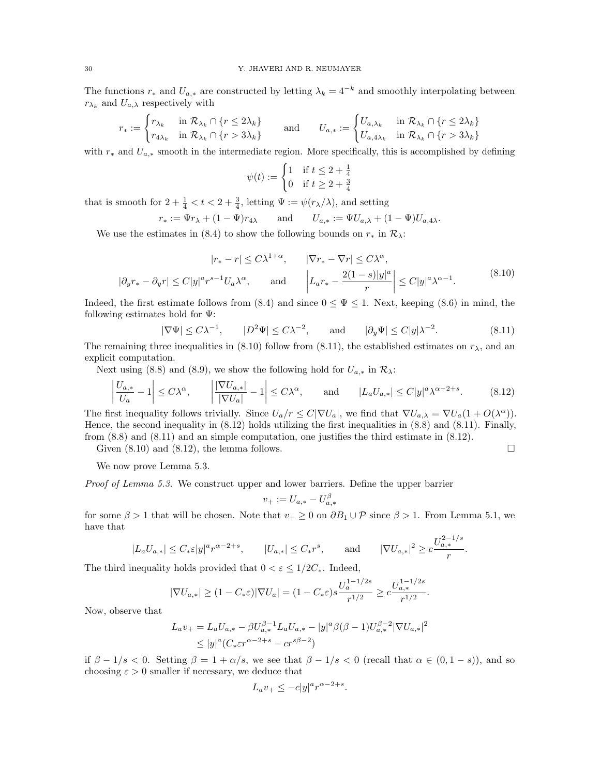The functions  $r_*$  and  $U_{a,*}$  are constructed by letting  $\lambda_k = 4^{-k}$  and smoothly interpolating between  $r_{\lambda_k}$  and  $U_{a,\lambda}$  respectively with

$$
r_* := \begin{cases} r_{\lambda_k} & \text{in } \mathcal{R}_{\lambda_k} \cap \{r \le 2\lambda_k\} \\ r_{4\lambda_k} & \text{in } \mathcal{R}_{\lambda_k} \cap \{r > 3\lambda_k\} \end{cases} \qquad \text{and} \qquad U_{a,*} := \begin{cases} U_{a,\lambda_k} & \text{in } \mathcal{R}_{\lambda_k} \cap \{r \le 2\lambda_k\} \\ U_{a,4\lambda_k} & \text{in } \mathcal{R}_{\lambda_k} \cap \{r > 3\lambda_k\} \end{cases}
$$

with  $r_*$  and  $U_{a,*}$  smooth in the intermediate region. More specifically, this is accomplished by defining

$$
\psi(t) := \begin{cases} 1 & \text{if } t \le 2 + \frac{1}{4} \\ 0 & \text{if } t \ge 2 + \frac{3}{4} \end{cases}
$$

that is smooth for  $2 + \frac{1}{4} < t < 2 + \frac{3}{4}$ , letting  $\Psi := \psi(r_{\lambda}/\lambda)$ , and setting

$$
r_* := \Psi r_\lambda + (1 - \Psi) r_{4\lambda}
$$
 and  $U_{a,*} := \Psi U_{a,\lambda} + (1 - \Psi) U_{a,4\lambda}.$ 

We use the estimates in (8.4) to show the following bounds on  $r_*$  in  $\mathcal{R}_{\lambda}$ :

$$
|r_{*} - r| \leq C\lambda^{1+\alpha}, \qquad |\nabla r_{*} - \nabla r| \leq C\lambda^{\alpha},
$$
  

$$
|\partial_{y}r_{*} - \partial_{y}r| \leq C|y|^{\alpha}r^{s-1}U_{a}\lambda^{\alpha}, \qquad \text{and} \qquad \left|L_{a}r_{*} - \frac{2(1-s)|y|^a}{r}\right| \leq C|y|^a\lambda^{\alpha-1}.
$$
  

$$
(8.10)
$$

Indeed, the first estimate follows from  $(8.4)$  and since  $0 \leq \Psi \leq 1$ . Next, keeping  $(8.6)$  in mind, the following estimates hold for Ψ:

$$
|\nabla\Psi| \le C\lambda^{-1}, \qquad |D^2\Psi| \le C\lambda^{-2}, \qquad \text{and} \qquad |\partial_y\Psi| \le C|y|\lambda^{-2}.
$$
 (8.11)

The remaining three inequalities in (8.10) follow from (8.11), the established estimates on  $r_{\lambda}$ , and an explicit computation.

Next using (8.8) and (8.9), we show the following hold for  $U_{a,*}$  in  $\mathcal{R}_{\lambda}$ :

$$
\left|\frac{U_{a,*}}{U_a} - 1\right| \le C\lambda^{\alpha}, \qquad \left|\frac{|\nabla U_{a,*}|}{|\nabla U_a|} - 1\right| \le C\lambda^{\alpha}, \qquad \text{and} \qquad |L_a U_{a,*}| \le C|y|^a \lambda^{\alpha - 2 + s}.\tag{8.12}
$$

The first inequality follows trivially. Since  $U_a/r \leq C|\nabla U_a|$ , we find that  $\nabla U_{a,\lambda} = \nabla U_a(1 + O(\lambda^{\alpha}))$ . Hence, the second inequality in (8.12) holds utilizing the first inequalities in (8.8) and (8.11). Finally, from (8.8) and (8.11) and an simple computation, one justifies the third estimate in (8.12).

Given  $(8.10)$  and  $(8.12)$ , the lemma follows.

We now prove Lemma 5.3.

Proof of Lemma 5.3. We construct upper and lower barriers. Define the upper barrier

$$
v_+ := U_{a,*} - U_{a,*}^\beta
$$

for some  $\beta > 1$  that will be chosen. Note that  $v_+ \geq 0$  on  $\partial B_1 \cup \mathcal{P}$  since  $\beta > 1$ . From Lemma 5.1, we have that

$$
|L_a U_{a,*}| \le C_* \varepsilon |y|^a r^{\alpha - 2 + s}, \qquad |U_{a,*}| \le C_* r^s, \qquad \text{and} \qquad |\nabla U_{a,*}|^2 \ge c \frac{U_{a,*}^{2 - 1/s}}{r}.
$$

The third inequality holds provided that  $0 < \varepsilon \leq 1/2C_*$ . Indeed,

$$
|\nabla U_{a,*}| \ge (1 - C_* \varepsilon) |\nabla U_a| = (1 - C_* \varepsilon) s \frac{U_a^{1-1/2s}}{r^{1/2}} \ge c \frac{U_{a,*}^{1-1/2s}}{r^{1/2}}.
$$

Now, observe that

$$
L_a v_+ = L_a U_{a,*} - \beta U_{a,*}^{\beta - 1} L_a U_{a,*} - |y|^a \beta (\beta - 1) U_{a,*}^{\beta - 2} |\nabla U_{a,*}|^2
$$
  
\n
$$
\leq |y|^a (C_* \varepsilon r^{\alpha - 2 + s} - c r^{s\beta - 2})
$$

if  $\beta - 1/s < 0$ . Setting  $\beta = 1 + \alpha/s$ , we see that  $\beta - 1/s < 0$  (recall that  $\alpha \in (0, 1-s)$ ), and so choosing  $\varepsilon > 0$  smaller if necessary, we deduce that

$$
L_a v_+ \leq -c |y|^a r^{\alpha-2+s}.
$$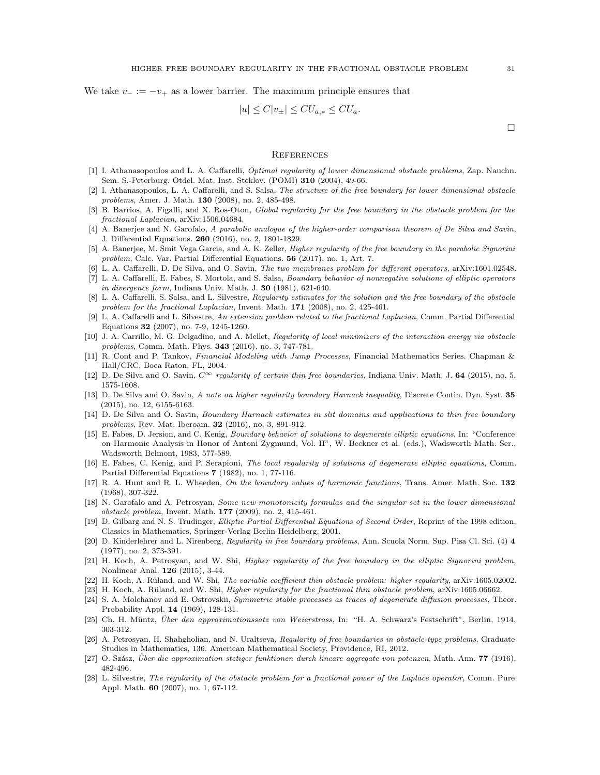We take  $v = -v_+$  as a lower barrier. The maximum principle ensures that

$$
|u| \le C|v_{\pm}| \le CU_{a,*} \le CU_a.
$$

 $\Box$ 

#### **REFERENCES**

- [1] I. Athanasopoulos and L. A. Caffarelli, *Optimal regularity of lower dimensional obstacle problems*, Zap. Nauchn. Sem. S.-Peterburg. Otdel. Mat. Inst. Steklov. (POMI) 310 (2004), 49-66.
- [2] I. Athanasopoulos, L. A. Caffarelli, and S. Salsa, The structure of the free boundary for lower dimensional obstacle problems, Amer. J. Math. 130 (2008), no. 2, 485-498.
- [3] B. Barrios, A. Figalli, and X. Ros-Oton, Global regularity for the free boundary in the obstacle problem for the fractional Laplacian, arXiv:1506.04684.
- [4] A. Banerjee and N. Garofalo, A parabolic analogue of the higher-order comparison theorem of De Silva and Savin, J. Differential Equations. 260 (2016), no. 2, 1801-1829.
- [5] A. Banerjee, M. Smit Vega Garcia, and A. K. Zeller, Higher regularity of the free boundary in the parabolic Signorini problem, Calc. Var. Partial Differential Equations. 56 (2017), no. 1, Art. 7.
- [6] L. A. Caffarelli, D. De Silva, and O. Savin, The two membranes problem for different operators, arXiv:1601.02548.
- [7] L. A. Caffarelli, E. Fabes, S. Mortola, and S. Salsa, Boundary behavior of nonnegative solutions of elliptic operators in divergence form, Indiana Univ. Math. J.  $30$  (1981), 621-640.
- [8] L. A. Caffarelli, S. Salsa, and L. Silvestre, Regularity estimates for the solution and the free boundary of the obstacle problem for the fractional Laplacian, Invent. Math. 171 (2008), no. 2, 425-461.
- [9] L. A. Caffarelli and L. Silvestre, An extension problem related to the fractional Laplacian, Comm. Partial Differential Equations 32 (2007), no. 7-9, 1245-1260.
- [10] J. A. Carrillo, M. G. Delgadino, and A. Mellet, Regularity of local minimizers of the interaction energy via obstacle problems, Comm. Math. Phys. 343 (2016), no. 3, 747-781.
- [11] R. Cont and P. Tankov, Financial Modeling with Jump Processes, Financial Mathematics Series. Chapman & Hall/CRC, Boca Raton, FL, 2004.
- [12] D. De Silva and O. Savin,  $C^{\infty}$  regularity of certain thin free boundaries, Indiana Univ. Math. J. 64 (2015), no. 5, 1575-1608.
- [13] D. De Silva and O. Savin, A note on higher regularity boundary Harnack inequality, Discrete Contin. Dyn. Syst. 35 (2015), no. 12, 6155-6163.
- [14] D. De Silva and O. Savin, Boundary Harnack estimates in slit domains and applications to thin free boundary problems, Rev. Mat. Iberoam. **32** (2016), no. 3, 891-912.
- [15] E. Fabes, D. Jersion, and C. Kenig, Boundary behavior of solutions to degenerate elliptic equations, In: "Conference on Harmonic Analysis in Honor of Antoni Zygmund, Vol. II", W. Beckner et al. (eds.), Wadsworth Math. Ser., Wadsworth Belmont, 1983, 577-589.
- [16] E. Fabes, C. Kenig, and P. Serapioni, The local regularity of solutions of degenerate elliptic equations, Comm. Partial Differential Equations 7 (1982), no. 1, 77-116.
- [17] R. A. Hunt and R. L. Wheeden, On the boundary values of harmonic functions, Trans. Amer. Math. Soc. 132 (1968), 307-322.
- [18] N. Garofalo and A. Petrosyan, Some new monotonicity formulas and the singular set in the lower dimensional obstacle problem, Invent. Math. 177 (2009), no. 2, 415-461.
- [19] D. Gilbarg and N. S. Trudinger, Elliptic Partial Differential Equations of Second Order, Reprint of the 1998 edition, Classics in Mathematics, Springer-Verlag Berlin Heidelberg, 2001.
- [20] D. Kinderlehrer and L. Nirenberg, Regularity in free boundary problems, Ann. Scuola Norm. Sup. Pisa Cl. Sci. (4) 4 (1977), no. 2, 373-391.
- [21] H. Koch, A. Petrosyan, and W. Shi, Higher regularity of the free boundary in the elliptic Signorini problem, Nonlinear Anal. 126 (2015), 3-44.
- [22] H. Koch, A. Rüland, and W. Shi, The variable coefficient thin obstacle problem: higher regularity, arXiv:1605.02002.
- [23] H. Koch, A. Rüland, and W. Shi, *Higher regularity for the fractional thin obstacle problem*, arXiv:1605.06662.
- [24] S. A. Molchanov and E. Ostrovskii, Symmetric stable processes as traces of degenerate diffusion processes, Theor. Probability Appl. 14 (1969), 128-131.
- [25] Ch. H. Müntz, Über den approximationssatz von Weierstrass, In: "H. A. Schwarz's Festschrift", Berlin, 1914, 303-312.
- [26] A. Petrosyan, H. Shahgholian, and N. Uraltseva, Regularity of free boundaries in obstacle-type problems, Graduate Studies in Mathematics, 136. American Mathematical Society, Providence, RI, 2012.
- $[27]$  O. Szász, Über die approximation stetiger funktionen durch lineare aggregate von potenzen, Math. Ann. **77** (1916), 482-496.
- [28] L. Silvestre, The regularity of the obstacle problem for a fractional power of the Laplace operator, Comm. Pure Appl. Math. 60 (2007), no. 1, 67-112.